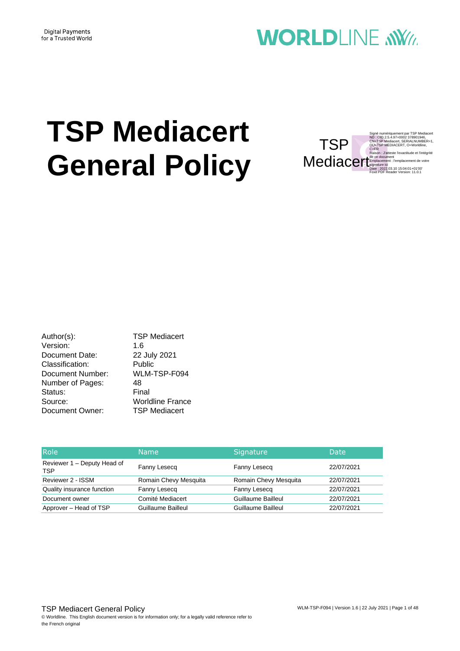#### **Digital Payments** for a Trusted World

## **WORLDLINE NWW**

# **TSP Mediacert General Policy**

Signé numériquement par TSP Mediacert<br>ND : OID.2.5.4.97=0002 378901946,<br>CN=TSP Mediacert, SERIALNUMBER=1,<br>OU=TSP MEDIACERT, O=Worldline,<br>C=FR .<br>n : J'atteste l'exactitude et l'intégrité de ce de Emplacement : l'emplacement de votre signature ici Date : 2022.03.10 15:04:01+01'00' Foxit PDF Reader Version: 11.0.1 **TSP** Mediacer

Author(s): TSP Mediacert Version: 1.6 Document Date: 22 July 2021 Classification: Public Document Number: WLM-TSP-F094 Number of Pages: 48 Status: Final Source: Worldline France Document Owner: TSP Mediacert

| <b>Role</b>                               | <b>Name</b>           | Signature             | <b>Date</b> |
|-------------------------------------------|-----------------------|-----------------------|-------------|
| Reviewer 1 – Deputy Head of<br><b>TSP</b> | Fanny Lesecg          | Fanny Lesecg          | 22/07/2021  |
| Reviewer 2 - ISSM                         | Romain Chevy Mesquita | Romain Chevy Mesquita | 22/07/2021  |
| Quality insurance function                | Fanny Lesecq          | Fanny Lesecg          | 22/07/2021  |
| Document owner                            | Comité Mediacert      | Guillaume Bailleul    | 22/07/2021  |
| Approver - Head of TSP                    | Guillaume Bailleul    | Guillaume Bailleul    | 22/07/2021  |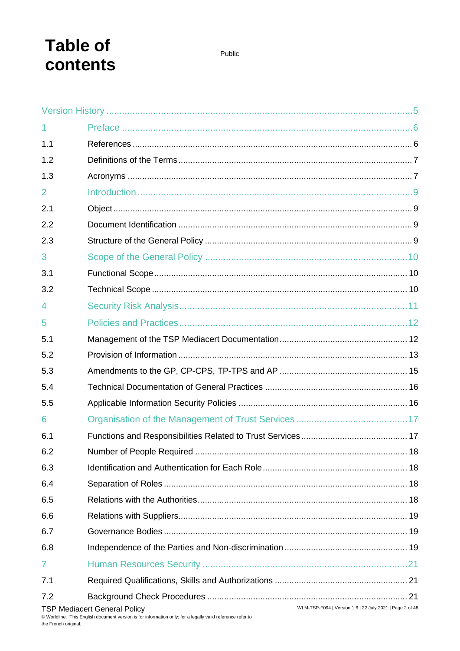## **Table of** contents

| 1              |                                                                                                                                   |  |
|----------------|-----------------------------------------------------------------------------------------------------------------------------------|--|
| 1.1            |                                                                                                                                   |  |
| 1.2            |                                                                                                                                   |  |
| 1.3            |                                                                                                                                   |  |
| $\overline{2}$ |                                                                                                                                   |  |
| 2.1            |                                                                                                                                   |  |
| 2.2            |                                                                                                                                   |  |
| 2.3            |                                                                                                                                   |  |
| 3              |                                                                                                                                   |  |
| 3.1            |                                                                                                                                   |  |
| 3.2            |                                                                                                                                   |  |
| 4              |                                                                                                                                   |  |
| 5              |                                                                                                                                   |  |
| 5.1            |                                                                                                                                   |  |
| 5.2            |                                                                                                                                   |  |
| 5.3            |                                                                                                                                   |  |
| 5.4            |                                                                                                                                   |  |
| 5.5            |                                                                                                                                   |  |
| 6              |                                                                                                                                   |  |
| 6.1            |                                                                                                                                   |  |
| 6.2            |                                                                                                                                   |  |
| 6.3            |                                                                                                                                   |  |
| 6.4            |                                                                                                                                   |  |
| 6.5            |                                                                                                                                   |  |
| 6.6            |                                                                                                                                   |  |
| 6.7            |                                                                                                                                   |  |
| 6.8            |                                                                                                                                   |  |
| $\overline{7}$ |                                                                                                                                   |  |
| 7.1            |                                                                                                                                   |  |
| 7.2            |                                                                                                                                   |  |
|                | WLM-TSP-F094   Version 1.6   22 July 2021   Page 2 of 48<br><b>TSP Mediacert General Policy</b><br>$\cdots$ . $\cdots$ , $\cdots$ |  |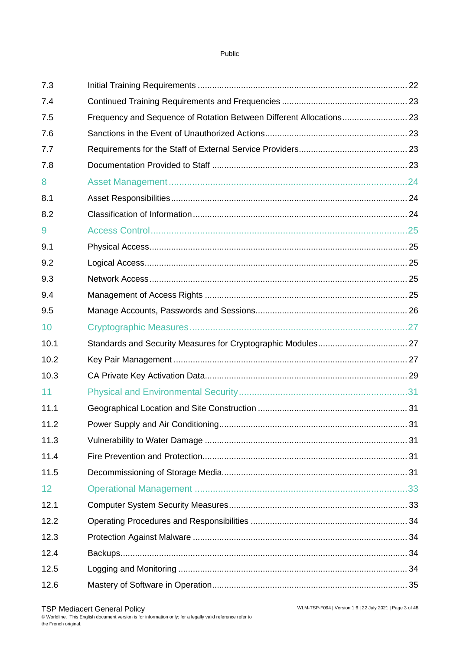| 7.3  |                                                                     |    |
|------|---------------------------------------------------------------------|----|
| 7.4  |                                                                     |    |
| 7.5  | Frequency and Sequence of Rotation Between Different Allocations 23 |    |
| 7.6  |                                                                     |    |
| 7.7  |                                                                     |    |
| 7.8  |                                                                     |    |
| 8    |                                                                     |    |
| 8.1  |                                                                     |    |
| 8.2  |                                                                     |    |
| 9    |                                                                     |    |
| 9.1  |                                                                     |    |
| 9.2  |                                                                     |    |
| 9.3  |                                                                     |    |
| 9.4  |                                                                     |    |
| 9.5  |                                                                     |    |
| 10   |                                                                     |    |
| 10.1 |                                                                     |    |
| 10.2 |                                                                     |    |
| 10.3 |                                                                     |    |
| 11   |                                                                     |    |
| 11.1 |                                                                     |    |
| 11.2 |                                                                     | 31 |
| 11.3 |                                                                     |    |
| 11.4 |                                                                     |    |
| 11.5 |                                                                     |    |
| 12   |                                                                     |    |
| 12.1 |                                                                     |    |
| 12.2 |                                                                     |    |
| 12.3 |                                                                     |    |
| 12.4 |                                                                     |    |
| 12.5 |                                                                     |    |
| 12.6 |                                                                     |    |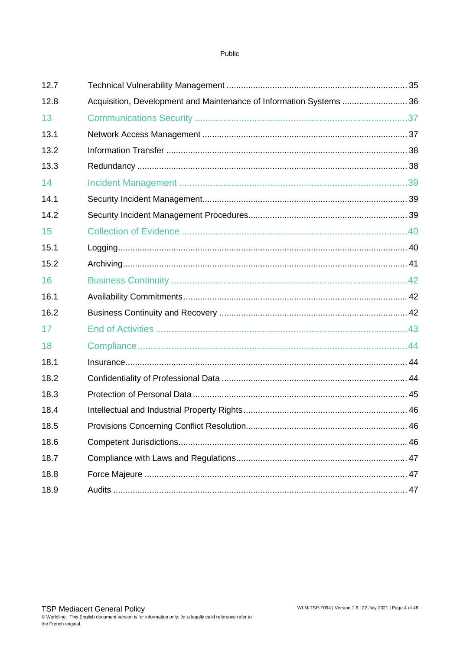| 12.7 |                                                                     |  |
|------|---------------------------------------------------------------------|--|
| 12.8 | Acquisition, Development and Maintenance of Information Systems  36 |  |
| 13   |                                                                     |  |
| 13.1 |                                                                     |  |
| 13.2 |                                                                     |  |
| 13.3 |                                                                     |  |
| 14   |                                                                     |  |
| 14.1 |                                                                     |  |
| 14.2 |                                                                     |  |
| 15   |                                                                     |  |
| 15.1 |                                                                     |  |
| 15.2 |                                                                     |  |
| 16   |                                                                     |  |
| 16.1 |                                                                     |  |
| 16.2 |                                                                     |  |
| 17   |                                                                     |  |
| 18   |                                                                     |  |
| 18.1 |                                                                     |  |
| 18.2 |                                                                     |  |
| 18.3 |                                                                     |  |
| 18.4 |                                                                     |  |
| 18.5 |                                                                     |  |
| 18.6 |                                                                     |  |
| 18.7 |                                                                     |  |
| 18.8 |                                                                     |  |
| 18.9 |                                                                     |  |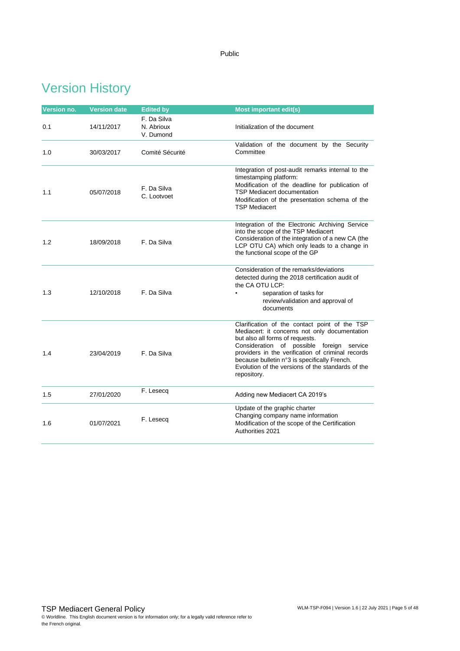## <span id="page-4-0"></span>Version History

| Version no. | <b>Version date</b> | <b>Edited by</b>                       | <b>Most important edit(s)</b>                                                                                                                                                                                                                                                                                                                           |
|-------------|---------------------|----------------------------------------|---------------------------------------------------------------------------------------------------------------------------------------------------------------------------------------------------------------------------------------------------------------------------------------------------------------------------------------------------------|
| 0.1         | 14/11/2017          | F. Da Silva<br>N. Abrioux<br>V. Dumond | Initialization of the document                                                                                                                                                                                                                                                                                                                          |
| 1.0         | 30/03/2017          | Comité Sécurité                        | Validation of the document by the Security<br>Committee                                                                                                                                                                                                                                                                                                 |
| 1.1         | 05/07/2018          | F. Da Silva<br>C. Lootvoet             | Integration of post-audit remarks internal to the<br>timestamping platform:<br>Modification of the deadline for publication of<br><b>TSP Mediacert documentation</b><br>Modification of the presentation schema of the<br><b>TSP Mediacert</b>                                                                                                          |
| 1.2         | 18/09/2018          | F. Da Silva                            | Integration of the Electronic Archiving Service<br>into the scope of the TSP Mediacert<br>Consideration of the integration of a new CA (the<br>LCP OTU CA) which only leads to a change in<br>the functional scope of the GP                                                                                                                            |
| 1.3         | 12/10/2018          | F. Da Silva                            | Consideration of the remarks/deviations<br>detected during the 2018 certification audit of<br>the CA OTU LCP:<br>separation of tasks for<br>review/validation and approval of<br>documents                                                                                                                                                              |
| 1.4         | 23/04/2019          | F. Da Silva                            | Clarification of the contact point of the TSP<br>Mediacert: it concerns not only documentation<br>but also all forms of requests.<br>Consideration of possible foreign service<br>providers in the verification of criminal records<br>because bulletin n°3 is specifically French.<br>Evolution of the versions of the standards of the<br>repository. |
| 1.5         | 27/01/2020          | F. Lesecq                              | Adding new Mediacert CA 2019's                                                                                                                                                                                                                                                                                                                          |
| 1.6         | 01/07/2021          | F. Lesecq                              | Update of the graphic charter<br>Changing company name information<br>Modification of the scope of the Certification<br>Authorities 2021                                                                                                                                                                                                                |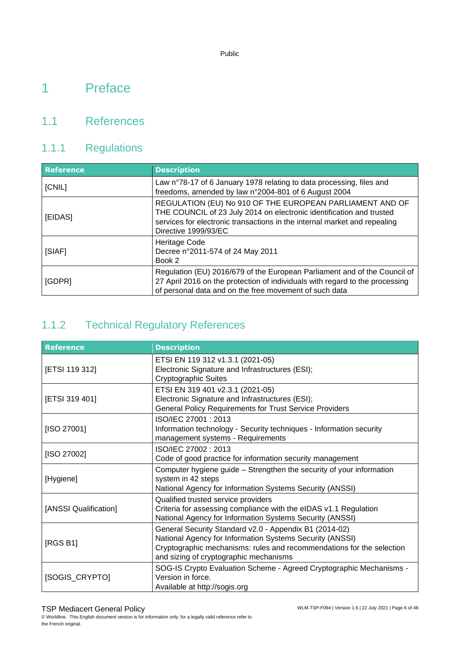## <span id="page-5-0"></span>1 Preface

#### <span id="page-5-1"></span>1.1 References

### 1.1.1 Regulations

| <b>Reference</b> | <b>Description</b>                                                                                                                                                                                                                    |
|------------------|---------------------------------------------------------------------------------------------------------------------------------------------------------------------------------------------------------------------------------------|
| [CNIL]           | Law n°78-17 of 6 January 1978 relating to data processing, files and<br>freedoms, amended by law n°2004-801 of 6 August 2004                                                                                                          |
| [EIDAS]          | REGULATION (EU) No 910 OF THE EUROPEAN PARLIAMENT AND OF<br>THE COUNCIL of 23 July 2014 on electronic identification and trusted<br>services for electronic transactions in the internal market and repealing<br>Directive 1999/93/EC |
| [SIAF]           | Heritage Code<br>Decree n°2011-574 of 24 May 2011<br>Book 2                                                                                                                                                                           |
| [GDPR]           | Regulation (EU) 2016/679 of the European Parliament and of the Council of<br>27 April 2016 on the protection of individuals with regard to the processing<br>of personal data and on the free movement of such data                   |

### 1.1.2 Technical Regulatory References

| <b>Reference</b>      | <b>Description</b>                                                                                                                                                                                                                    |
|-----------------------|---------------------------------------------------------------------------------------------------------------------------------------------------------------------------------------------------------------------------------------|
| [ETSI 119 312]        | ETSI EN 119 312 v1.3.1 (2021-05)<br>Electronic Signature and Infrastructures (ESI);<br><b>Cryptographic Suites</b>                                                                                                                    |
| [ETSI 319 401]        | ETSI EN 319 401 v2.3.1 (2021-05)<br>Electronic Signature and Infrastructures (ESI);<br><b>General Policy Requirements for Trust Service Providers</b>                                                                                 |
| [ISO 27001]           | ISO/IEC 27001: 2013<br>Information technology - Security techniques - Information security<br>management systems - Requirements                                                                                                       |
| [ISO 27002]           | ISO/IEC 27002: 2013<br>Code of good practice for information security management                                                                                                                                                      |
| [Hygiene]             | Computer hygiene guide - Strengthen the security of your information<br>system in 42 steps<br>National Agency for Information Systems Security (ANSSI)                                                                                |
| [ANSSI Qualification] | Qualified trusted service providers<br>Criteria for assessing compliance with the eIDAS v1.1 Regulation<br>National Agency for Information Systems Security (ANSSI)                                                                   |
| [RGS B1]              | General Security Standard v2.0 - Appendix B1 (2014-02)<br>National Agency for Information Systems Security (ANSSI)<br>Cryptographic mechanisms: rules and recommendations for the selection<br>and sizing of cryptographic mechanisms |
| [SOGIS_CRYPTO]        | SOG-IS Crypto Evaluation Scheme - Agreed Cryptographic Mechanisms -<br>Version in force.<br>Available at http://sogis.org                                                                                                             |

#### TSP Mediacert General Policy

© Worldline. This English document version is for information only; for a legally valid reference refer to the French original.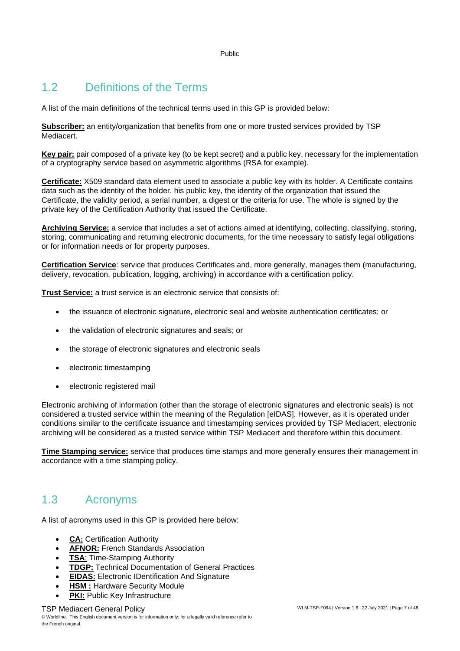### <span id="page-6-0"></span>1.2 Definitions of the Terms

A list of the main definitions of the technical terms used in this GP is provided below:

**Subscriber:** an entity/organization that benefits from one or more trusted services provided by TSP Mediacert.

**Key pair:** pair composed of a private key (to be kept secret) and a public key, necessary for the implementation of a cryptography service based on asymmetric algorithms (RSA for example).

**Certificate:** X509 standard data element used to associate a public key with its holder. A Certificate contains data such as the identity of the holder, his public key, the identity of the organization that issued the Certificate, the validity period, a serial number, a digest or the criteria for use. The whole is signed by the private key of the Certification Authority that issued the Certificate.

**Archiving Service:** a service that includes a set of actions aimed at identifying, collecting, classifying, storing, storing, communicating and returning electronic documents, for the time necessary to satisfy legal obligations or for information needs or for property purposes.

**Certification Service**: service that produces Certificates and, more generally, manages them (manufacturing, delivery, revocation, publication, logging, archiving) in accordance with a certification policy.

**Trust Service:** a trust service is an electronic service that consists of:

- the issuance of electronic signature, electronic seal and website authentication certificates; or
- the validation of electronic signatures and seals; or
- the storage of electronic signatures and electronic seals
- electronic timestamping
- electronic registered mail

Electronic archiving of information (other than the storage of electronic signatures and electronic seals) is not considered a trusted service within the meaning of the Regulation [eIDAS]. However, as it is operated under conditions similar to the certificate issuance and timestamping services provided by TSP Mediacert, electronic archiving will be considered as a trusted service within TSP Mediacert and therefore within this document.

**Time Stamping service:** service that produces time stamps and more generally ensures their management in accordance with a time stamping policy.

#### <span id="page-6-1"></span>1.3 Acronyms

A list of acronyms used in this GP is provided here below:

- **CA:** Certification Authority
- **AFNOR:** French Standards Association
- **TSA**: Time-Stamping Authority
- **TDGP:** Technical Documentation of General Practices
- **EIDAS:** Electronic IDentification And Signature
- **HSM:** Hardware Security Module
- **PKI: Public Key Infrastructure**

#### TSP Mediacert General Policy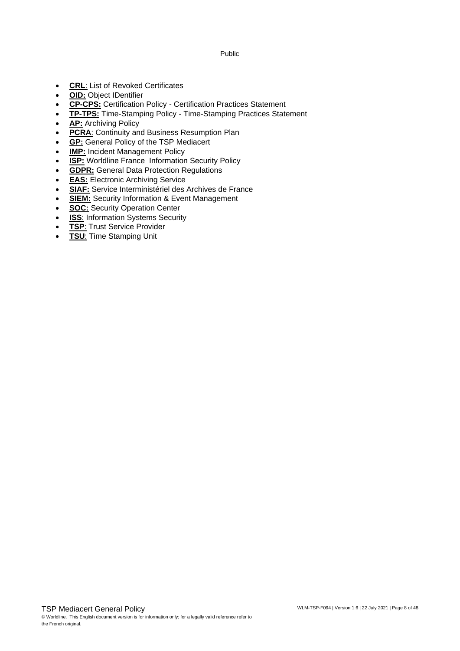- **CRL**: List of Revoked Certificates
- **OID:** Object IDentifier
- **CP-CPS:** Certification Policy Certification Practices Statement
- **TP-TPS:** Time-Stamping Policy Time-Stamping Practices Statement
- **AP:** Archiving Policy
- **PCRA**: Continuity and Business Resumption Plan
- **GP:** General Policy of the TSP Mediacert
- **IMP:** Incident Management Policy
- **ISP:** Worldline France Information Security Policy
- **GDPR:** General Data Protection Regulations
- **EAS:** Electronic Archiving Service
- **SIAF:** Service Interministériel des Archives de France
- **SIEM:** Security Information & Event Management
- **SOC:** Security Operation Center
- **ISS**: Information Systems Security
- **TSP**: Trust Service Provider
- **TSU**: Time Stamping Unit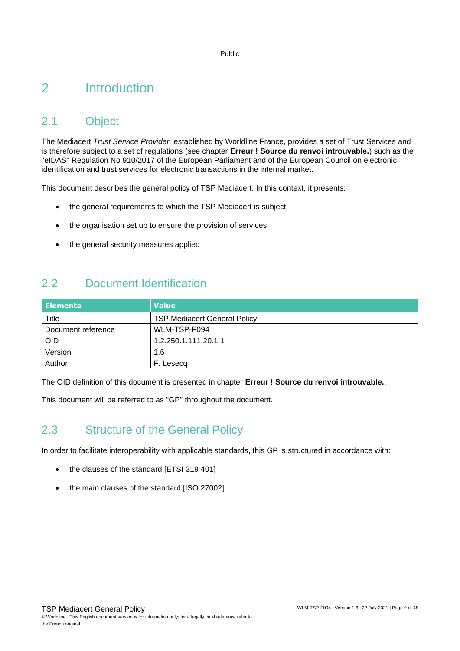## <span id="page-8-0"></span>2 Introduction

#### <span id="page-8-1"></span>2.1 Object

The Mediacert *Trust Service Provider,* established by Worldline France, provides a set of Trust Services and is therefore subject to a set of regulations (see chapter **Erreur ! Source du renvoi introuvable.**) such as the "eIDAS" Regulation No 910/2017 of the European Parliament and of the European Council on electronic identification and trust services for electronic transactions in the internal market.

This document describes the general policy of TSP Mediacert. In this context, it presents:

- the general requirements to which the TSP Mediacert is subject
- the organisation set up to ensure the provision of services
- the general security measures applied

#### <span id="page-8-2"></span>2.2 Document Identification

| <b>Elements</b>    | <b>Value</b>                        |
|--------------------|-------------------------------------|
| Title              | <b>TSP Mediacert General Policy</b> |
| Document reference | WLM-TSP-F094                        |
| <b>OID</b>         | 1.2.250.1.111.20.1.1                |
| Version            | 1.6                                 |
| Author             | . Leseca                            |

The OID definition of this document is presented in chapter **Erreur ! Source du renvoi introuvable.**.

<span id="page-8-3"></span>This document will be referred to as "GP" throughout the document.

#### 2.3 Structure of the General Policy

In order to facilitate interoperability with applicable standards, this GP is structured in accordance with:

- the clauses of the standard [ETSI 319 401]
- the main clauses of the standard [ISO 27002]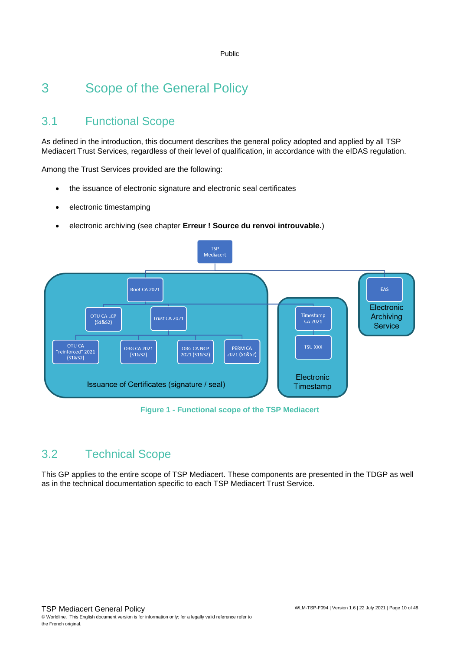## <span id="page-9-0"></span>3 Scope of the General Policy

### <span id="page-9-1"></span>3.1 Functional Scope

As defined in the introduction, this document describes the general policy adopted and applied by all TSP Mediacert Trust Services, regardless of their level of qualification, in accordance with the eIDAS regulation.

Among the Trust Services provided are the following:

- the issuance of electronic signature and electronic seal certificates
- electronic timestamping
- electronic archiving (see chapter **Erreur ! Source du renvoi introuvable.**)



#### **Figure 1 - Functional scope of the TSP Mediacert**

#### <span id="page-9-2"></span>3.2 Technical Scope

This GP applies to the entire scope of TSP Mediacert. These components are presented in the TDGP as well as in the technical documentation specific to each TSP Mediacert Trust Service.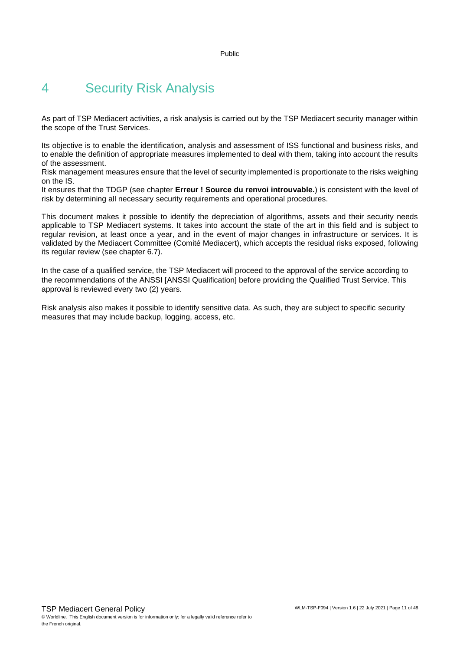## <span id="page-10-0"></span>4 Security Risk Analysis

As part of TSP Mediacert activities, a risk analysis is carried out by the TSP Mediacert security manager within the scope of the Trust Services.

Its objective is to enable the identification, analysis and assessment of ISS functional and business risks, and to enable the definition of appropriate measures implemented to deal with them, taking into account the results of the assessment.

Risk management measures ensure that the level of security implemented is proportionate to the risks weighing on the IS.

It ensures that the TDGP (see chapter **Erreur ! Source du renvoi introuvable.**) is consistent with the level of risk by determining all necessary security requirements and operational procedures.

This document makes it possible to identify the depreciation of algorithms, assets and their security needs applicable to TSP Mediacert systems. It takes into account the state of the art in this field and is subject to regular revision, at least once a year, and in the event of major changes in infrastructure or services. It is validated by the Mediacert Committee (Comité Mediacert), which accepts the residual risks exposed, following its regular review (see chapter [6.7\)](#page-18-1).

In the case of a qualified service, the TSP Mediacert will proceed to the approval of the service according to the recommendations of the ANSSI [ANSSI Qualification] before providing the Qualified Trust Service. This approval is reviewed every two (2) years.

Risk analysis also makes it possible to identify sensitive data. As such, they are subject to specific security measures that may include backup, logging, access, etc.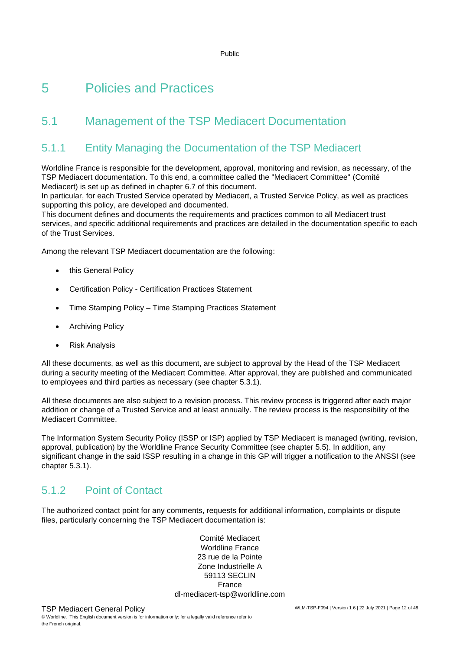## <span id="page-11-0"></span>5 Policies and Practices

### <span id="page-11-1"></span>5.1 Management of the TSP Mediacert Documentation

#### 5.1.1 Entity Managing the Documentation of the TSP Mediacert

Worldline France is responsible for the development, approval, monitoring and revision, as necessary, of the TSP Mediacert documentation. To this end, a committee called the "Mediacert Committee" (Comité Mediacert) is set up as defined in chapter 6.7 of this document.

In particular, for each Trusted Service operated by Mediacert, a Trusted Service Policy, as well as practices supporting this policy, are developed and documented.

This document defines and documents the requirements and practices common to all Mediacert trust services, and specific additional requirements and practices are detailed in the documentation specific to each of the Trust Services.

Among the relevant TSP Mediacert documentation are the following:

- this General Policy
- Certification Policy Certification Practices Statement
- Time Stamping Policy Time Stamping Practices Statement
- Archiving Policy
- Risk Analysis

All these documents, as well as this document, are subject to approval by the Head of the TSP Mediacert during a security meeting of the Mediacert Committee. After approval, they are published and communicated to employees and third parties as necessary (see chapter 5.3.1).

All these documents are also subject to a revision process. This review process is triggered after each major addition or change of a Trusted Service and at least annually. The review process is the responsibility of the Mediacert Committee.

The Information System Security Policy (ISSP or ISP) applied by TSP Mediacert is managed (writing, revision, approval, publication) by the Worldline France Security Committee (see chapter 5.5). In addition, any significant change in the said ISSP resulting in a change in this GP will trigger a notification to the ANSSI (see chapter 5.3.1).

#### 5.1.2 Point of Contact

The authorized contact point for any comments, requests for additional information, complaints or dispute files, particularly concerning the TSP Mediacert documentation is:

> Comité Mediacert Worldline France 23 rue de la Pointe Zone Industrielle A 59113 SECLIN France dl-mediacert-tsp@worldline.com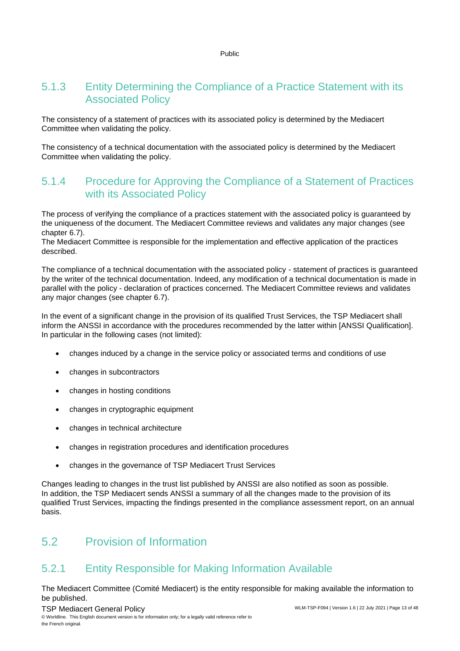#### 5.1.3 Entity Determining the Compliance of a Practice Statement with its Associated Policy

The consistency of a statement of practices with its associated policy is determined by the Mediacert Committee when validating the policy.

The consistency of a technical documentation with the associated policy is determined by the Mediacert Committee when validating the policy.

#### 5.1.4 Procedure for Approving the Compliance of a Statement of Practices with its Associated Policy

The process of verifying the compliance of a practices statement with the associated policy is guaranteed by the uniqueness of the document. The Mediacert Committee reviews and validates any major changes (see chapter 6.7).

The Mediacert Committee is responsible for the implementation and effective application of the practices described.

The compliance of a technical documentation with the associated policy - statement of practices is guaranteed by the writer of the technical documentation. Indeed, any modification of a technical documentation is made in parallel with the policy - declaration of practices concerned. The Mediacert Committee reviews and validates any major changes (see chapter 6.7).

In the event of a significant change in the provision of its qualified Trust Services, the TSP Mediacert shall inform the ANSSI in accordance with the procedures recommended by the latter within [ANSSI Qualification]. In particular in the following cases (not limited):

- changes induced by a change in the service policy or associated terms and conditions of use
- changes in subcontractors
- changes in hosting conditions
- changes in cryptographic equipment
- changes in technical architecture
- changes in registration procedures and identification procedures
- changes in the governance of TSP Mediacert Trust Services

Changes leading to changes in the trust list published by ANSSI are also notified as soon as possible. In addition, the TSP Mediacert sends ANSSI a summary of all the changes made to the provision of its qualified Trust Services, impacting the findings presented in the compliance assessment report, on an annual basis.

#### <span id="page-12-0"></span>5.2 Provision of Information

#### 5.2.1 Entity Responsible for Making Information Available

The Mediacert Committee (Comité Mediacert) is the entity responsible for making available the information to be published.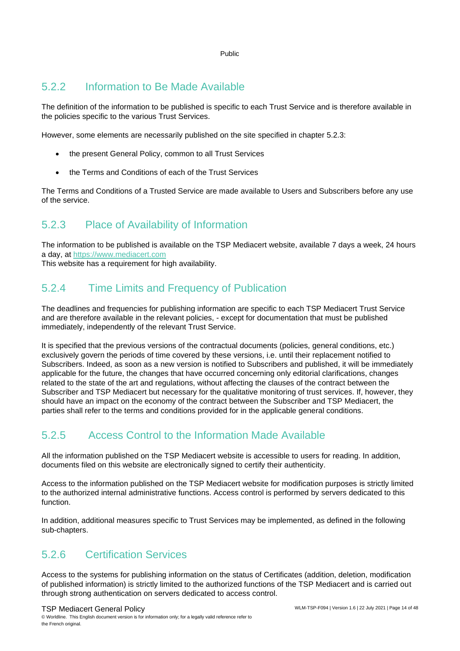#### 5.2.2 Information to Be Made Available

The definition of the information to be published is specific to each Trust Service and is therefore available in the policies specific to the various Trust Services.

However, some elements are necessarily published on the site specified in chapter 5.2.3:

- the present General Policy, common to all Trust Services
- the Terms and Conditions of each of the Trust Services

The Terms and Conditions of a Trusted Service are made available to Users and Subscribers before any use of the service.

#### 5.2.3 Place of Availability of Information

The information to be published is available on the TSP Mediacert website, available 7 days a week, 24 hours a day, at [https://www.mediacert.com](https://www.mediacert.com/)

This website has a requirement for high availability.

#### 5.2.4 Time Limits and Frequency of Publication

The deadlines and frequencies for publishing information are specific to each TSP Mediacert Trust Service and are therefore available in the relevant policies, - except for documentation that must be published immediately, independently of the relevant Trust Service.

It is specified that the previous versions of the contractual documents (policies, general conditions, etc.) exclusively govern the periods of time covered by these versions, i.e. until their replacement notified to Subscribers. Indeed, as soon as a new version is notified to Subscribers and published, it will be immediately applicable for the future, the changes that have occurred concerning only editorial clarifications, changes related to the state of the art and regulations, without affecting the clauses of the contract between the Subscriber and TSP Mediacert but necessary for the qualitative monitoring of trust services. If, however, they should have an impact on the economy of the contract between the Subscriber and TSP Mediacert, the parties shall refer to the terms and conditions provided for in the applicable general conditions.

#### 5.2.5 Access Control to the Information Made Available

All the information published on the TSP Mediacert website is accessible to users for reading. In addition, documents filed on this website are electronically signed to certify their authenticity.

Access to the information published on the TSP Mediacert website for modification purposes is strictly limited to the authorized internal administrative functions. Access control is performed by servers dedicated to this function.

In addition, additional measures specific to Trust Services may be implemented, as defined in the following sub-chapters.

#### 5.2.6 Certification Services

Access to the systems for publishing information on the status of Certificates (addition, deletion, modification of published information) is strictly limited to the authorized functions of the TSP Mediacert and is carried out through strong authentication on servers dedicated to access control.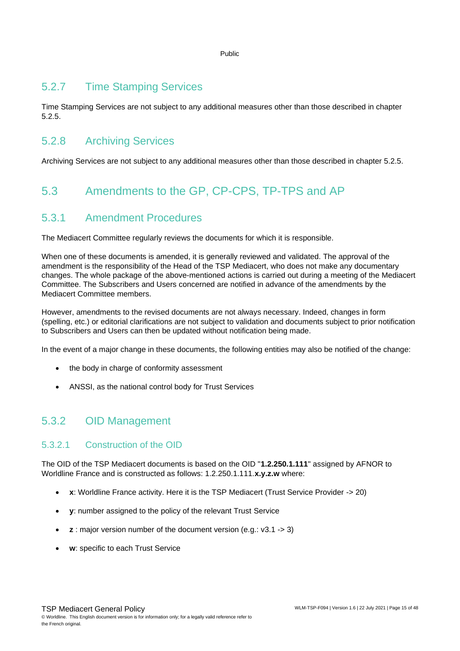#### 5.2.7 Time Stamping Services

Time Stamping Services are not subject to any additional measures other than those described in chapter 5.2.5.

#### 5.2.8 Archiving Services

<span id="page-14-0"></span>Archiving Services are not subject to any additional measures other than those described in chapter 5.2.5.

### 5.3 Amendments to the GP, CP-CPS, TP-TPS and AP

#### 5.3.1 Amendment Procedures

The Mediacert Committee regularly reviews the documents for which it is responsible.

When one of these documents is amended, it is generally reviewed and validated. The approval of the amendment is the responsibility of the Head of the TSP Mediacert, who does not make any documentary changes. The whole package of the above-mentioned actions is carried out during a meeting of the Mediacert Committee. The Subscribers and Users concerned are notified in advance of the amendments by the Mediacert Committee members.

However, amendments to the revised documents are not always necessary. Indeed, changes in form (spelling, etc.) or editorial clarifications are not subject to validation and documents subject to prior notification to Subscribers and Users can then be updated without notification being made.

In the event of a major change in these documents, the following entities may also be notified of the change:

- the body in charge of conformity assessment
- ANSSI, as the national control body for Trust Services

#### 5.3.2 OID Management

#### 5.3.2.1 Construction of the OID

The OID of the TSP Mediacert documents is based on the OID "**1.2.250.1.111**" assigned by AFNOR to Worldline France and is constructed as follows: 1.2.250.1.111.**x.y.z.w** where:

- **x**: Worldline France activity. Here it is the TSP Mediacert (Trust Service Provider -> 20)
- **y**: number assigned to the policy of the relevant Trust Service
- **z** : major version number of the document version (e.g.: v3.1 -> 3)
- **w**: specific to each Trust Service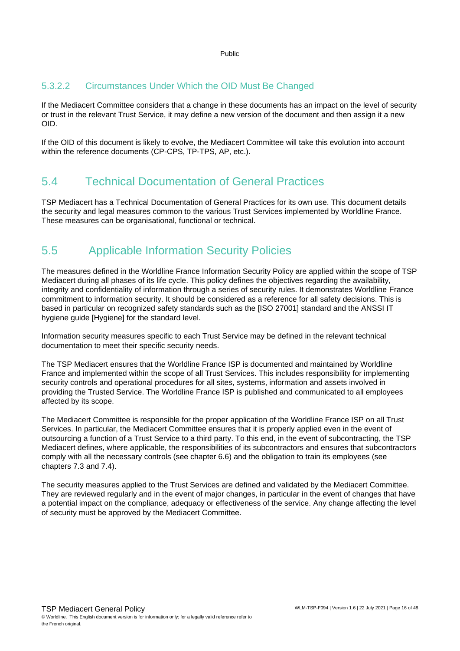#### 5.3.2.2 Circumstances Under Which the OID Must Be Changed

If the Mediacert Committee considers that a change in these documents has an impact on the level of security or trust in the relevant Trust Service, it may define a new version of the document and then assign it a new OID.

<span id="page-15-0"></span>If the OID of this document is likely to evolve, the Mediacert Committee will take this evolution into account within the reference documents (CP-CPS, TP-TPS, AP, etc.).

#### 5.4 Technical Documentation of General Practices

TSP Mediacert has a Technical Documentation of General Practices for its own use. This document details the security and legal measures common to the various Trust Services implemented by Worldline France. These measures can be organisational, functional or technical.

#### <span id="page-15-1"></span>5.5 Applicable Information Security Policies

The measures defined in the Worldline France Information Security Policy are applied within the scope of TSP Mediacert during all phases of its life cycle. This policy defines the objectives regarding the availability, integrity and confidentiality of information through a series of security rules. It demonstrates Worldline France commitment to information security. It should be considered as a reference for all safety decisions. This is based in particular on recognized safety standards such as the [ISO 27001] standard and the ANSSI IT hygiene guide [Hygiene] for the standard level.

Information security measures specific to each Trust Service may be defined in the relevant technical documentation to meet their specific security needs.

The TSP Mediacert ensures that the Worldline France ISP is documented and maintained by Worldline France and implemented within the scope of all Trust Services. This includes responsibility for implementing security controls and operational procedures for all sites, systems, information and assets involved in providing the Trusted Service. The Worldline France ISP is published and communicated to all employees affected by its scope.

The Mediacert Committee is responsible for the proper application of the Worldline France ISP on all Trust Services. In particular, the Mediacert Committee ensures that it is properly applied even in the event of outsourcing a function of a Trust Service to a third party. To this end, in the event of subcontracting, the TSP Mediacert defines, where applicable, the responsibilities of its subcontractors and ensures that subcontractors comply with all the necessary controls (see chapter 6.6) and the obligation to train its employees (see chapters 7.3 and 7.4).

The security measures applied to the Trust Services are defined and validated by the Mediacert Committee. They are reviewed regularly and in the event of major changes, in particular in the event of changes that have a potential impact on the compliance, adequacy or effectiveness of the service. Any change affecting the level of security must be approved by the Mediacert Committee.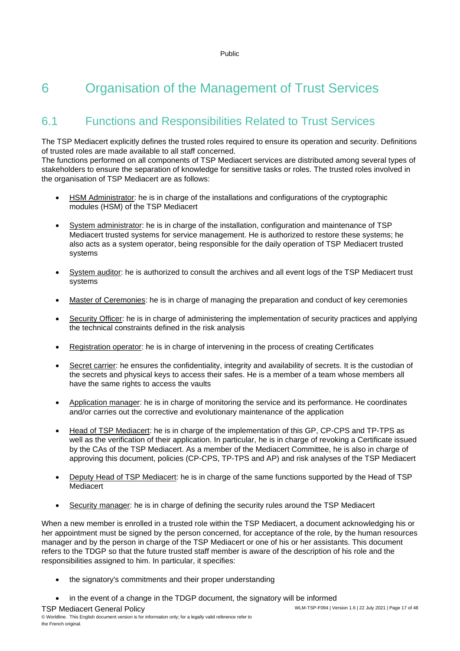## <span id="page-16-0"></span>6 Organisation of the Management of Trust Services

### <span id="page-16-1"></span>6.1 Functions and Responsibilities Related to Trust Services

The TSP Mediacert explicitly defines the trusted roles required to ensure its operation and security. Definitions of trusted roles are made available to all staff concerned.

The functions performed on all components of TSP Mediacert services are distributed among several types of stakeholders to ensure the separation of knowledge for sensitive tasks or roles. The trusted roles involved in the organisation of TSP Mediacert are as follows:

- HSM Administrator: he is in charge of the installations and configurations of the cryptographic modules (HSM) of the TSP Mediacert
- System administrator: he is in charge of the installation, configuration and maintenance of TSP Mediacert trusted systems for service management. He is authorized to restore these systems; he also acts as a system operator, being responsible for the daily operation of TSP Mediacert trusted systems
- System auditor: he is authorized to consult the archives and all event logs of the TSP Mediacert trust systems
- Master of Ceremonies: he is in charge of managing the preparation and conduct of key ceremonies
- Security Officer: he is in charge of administering the implementation of security practices and applying the technical constraints defined in the risk analysis
- Registration operator: he is in charge of intervening in the process of creating Certificates
- Secret carrier: he ensures the confidentiality, integrity and availability of secrets. It is the custodian of the secrets and physical keys to access their safes. He is a member of a team whose members all have the same rights to access the vaults
- Application manager: he is in charge of monitoring the service and its performance. He coordinates and/or carries out the corrective and evolutionary maintenance of the application
- Head of TSP Mediacert: he is in charge of the implementation of this GP, CP-CPS and TP-TPS as well as the verification of their application. In particular, he is in charge of revoking a Certificate issued by the CAs of the TSP Mediacert. As a member of the Mediacert Committee, he is also in charge of approving this document, policies (CP-CPS, TP-TPS and AP) and risk analyses of the TSP Mediacert
- Deputy Head of TSP Mediacert: he is in charge of the same functions supported by the Head of TSP **Mediacert**
- Security manager: he is in charge of defining the security rules around the TSP Mediacert

When a new member is enrolled in a trusted role within the TSP Mediacert, a document acknowledging his or her appointment must be signed by the person concerned, for acceptance of the role, by the human resources manager and by the person in charge of the TSP Mediacert or one of his or her assistants. This document refers to the TDGP so that the future trusted staff member is aware of the description of his role and the responsibilities assigned to him. In particular, it specifies:

- the signatory's commitments and their proper understanding
- in the event of a change in the TDGP document, the signatory will be informed

TSP Mediacert General Policy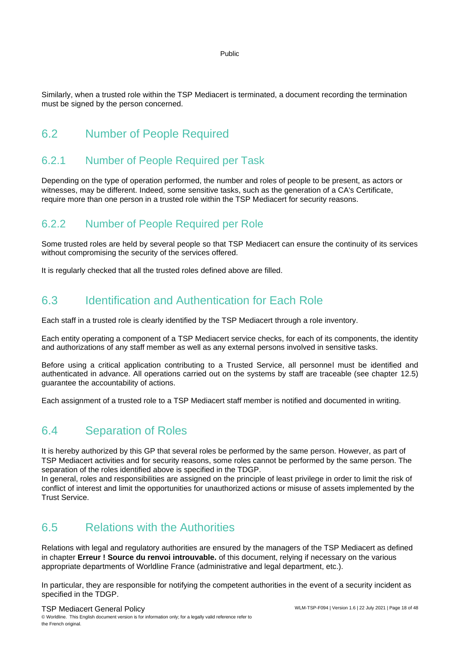Similarly, when a trusted role within the TSP Mediacert is terminated, a document recording the termination must be signed by the person concerned.

#### <span id="page-17-0"></span>6.2 Number of People Required

#### 6.2.1 Number of People Required per Task

Depending on the type of operation performed, the number and roles of people to be present, as actors or witnesses, may be different. Indeed, some sensitive tasks, such as the generation of a CA's Certificate, require more than one person in a trusted role within the TSP Mediacert for security reasons.

#### 6.2.2 Number of People Required per Role

Some trusted roles are held by several people so that TSP Mediacert can ensure the continuity of its services without compromising the security of the services offered.

<span id="page-17-1"></span>It is regularly checked that all the trusted roles defined above are filled.

#### 6.3 Identification and Authentication for Each Role

Each staff in a trusted role is clearly identified by the TSP Mediacert through a role inventory.

Each entity operating a component of a TSP Mediacert service checks, for each of its components, the identity and authorizations of any staff member as well as any external persons involved in sensitive tasks.

Before using a critical application contributing to a Trusted Service, all personnel must be identified and authenticated in advance. All operations carried out on the systems by staff are traceable (see chapter [12.5\)](#page-33-3) guarantee the accountability of actions.

<span id="page-17-2"></span>Each assignment of a trusted role to a TSP Mediacert staff member is notified and documented in writing.

#### 6.4 Separation of Roles

It is hereby authorized by this GP that several roles be performed by the same person. However, as part of TSP Mediacert activities and for security reasons, some roles cannot be performed by the same person. The separation of the roles identified above is specified in the TDGP.

In general, roles and responsibilities are assigned on the principle of least privilege in order to limit the risk of conflict of interest and limit the opportunities for unauthorized actions or misuse of assets implemented by the Trust Service.

#### <span id="page-17-3"></span>6.5 Relations with the Authorities

Relations with legal and regulatory authorities are ensured by the managers of the TSP Mediacert as defined in chapter **Erreur ! Source du renvoi introuvable.** of this document, relying if necessary on the various appropriate departments of Worldline France (administrative and legal department, etc.).

In particular, they are responsible for notifying the competent authorities in the event of a security incident as specified in the TDGP.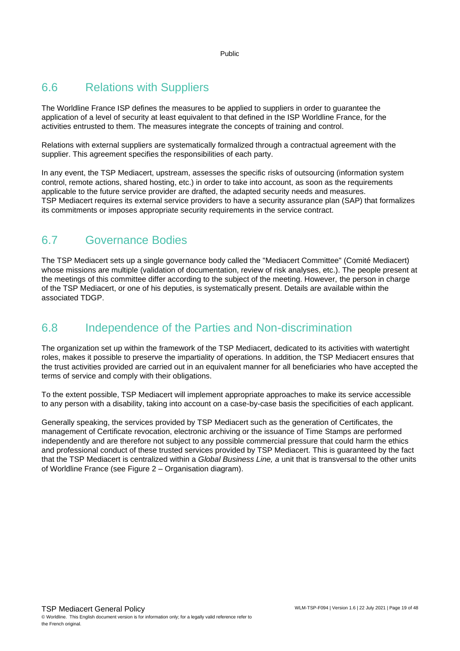#### <span id="page-18-0"></span>6.6 Relations with Suppliers

The Worldline France ISP defines the measures to be applied to suppliers in order to guarantee the application of a level of security at least equivalent to that defined in the ISP Worldline France, for the activities entrusted to them. The measures integrate the concepts of training and control.

Relations with external suppliers are systematically formalized through a contractual agreement with the supplier. This agreement specifies the responsibilities of each party.

In any event, the TSP Mediacert, upstream, assesses the specific risks of outsourcing (information system control, remote actions, shared hosting, etc.) in order to take into account, as soon as the requirements applicable to the future service provider are drafted, the adapted security needs and measures. TSP Mediacert requires its external service providers to have a security assurance plan (SAP) that formalizes its commitments or imposes appropriate security requirements in the service contract.

#### <span id="page-18-1"></span>6.7 Governance Bodies

The TSP Mediacert sets up a single governance body called the "Mediacert Committee" (Comité Mediacert) whose missions are multiple (validation of documentation, review of risk analyses, etc.). The people present at the meetings of this committee differ according to the subject of the meeting. However, the person in charge of the TSP Mediacert, or one of his deputies, is systematically present. Details are available within the associated TDGP.

#### <span id="page-18-2"></span>6.8 Independence of the Parties and Non-discrimination

The organization set up within the framework of the TSP Mediacert, dedicated to its activities with watertight roles, makes it possible to preserve the impartiality of operations. In addition, the TSP Mediacert ensures that the trust activities provided are carried out in an equivalent manner for all beneficiaries who have accepted the terms of service and comply with their obligations.

To the extent possible, TSP Mediacert will implement appropriate approaches to make its service accessible to any person with a disability, taking into account on a case-by-case basis the specificities of each applicant.

Generally speaking, the services provided by TSP Mediacert such as the generation of Certificates, the management of Certificate revocation, electronic archiving or the issuance of Time Stamps are performed independently and are therefore not subject to any possible commercial pressure that could harm the ethics and professional conduct of these trusted services provided by TSP Mediacert. This is guaranteed by the fact that the TSP Mediacert is centralized within a *Global Business Line, a* unit that is transversal to the other units of Worldline France (see Figure 2 – [Organisation diagram\)](#page-19-0).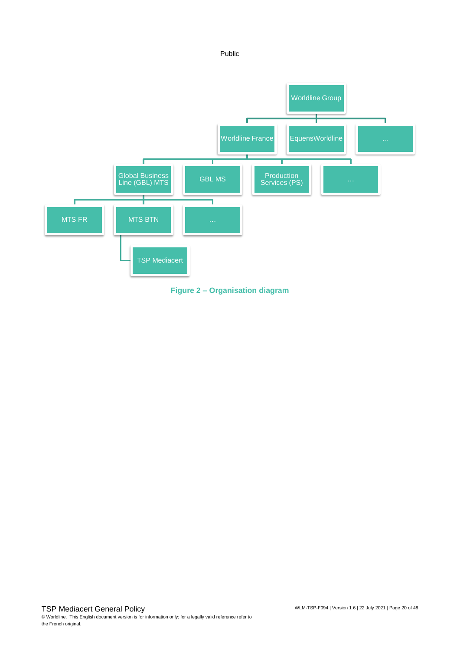

<span id="page-19-0"></span>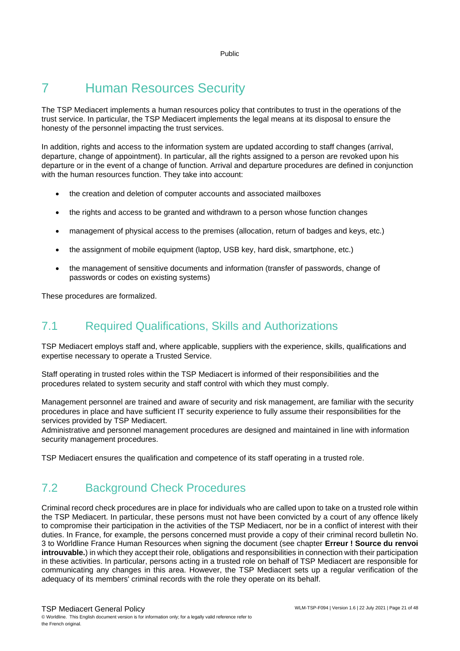## <span id="page-20-0"></span>7 Human Resources Security

The TSP Mediacert implements a human resources policy that contributes to trust in the operations of the trust service. In particular, the TSP Mediacert implements the legal means at its disposal to ensure the honesty of the personnel impacting the trust services.

In addition, rights and access to the information system are updated according to staff changes (arrival, departure, change of appointment). In particular, all the rights assigned to a person are revoked upon his departure or in the event of a change of function. Arrival and departure procedures are defined in conjunction with the human resources function. They take into account:

- the creation and deletion of computer accounts and associated mailboxes
- the rights and access to be granted and withdrawn to a person whose function changes
- management of physical access to the premises (allocation, return of badges and keys, etc.)
- the assignment of mobile equipment (laptop, USB key, hard disk, smartphone, etc.)
- the management of sensitive documents and information (transfer of passwords, change of passwords or codes on existing systems)

<span id="page-20-1"></span>These procedures are formalized.

#### 7.1 Required Qualifications, Skills and Authorizations

TSP Mediacert employs staff and, where applicable, suppliers with the experience, skills, qualifications and expertise necessary to operate a Trusted Service.

Staff operating in trusted roles within the TSP Mediacert is informed of their responsibilities and the procedures related to system security and staff control with which they must comply.

Management personnel are trained and aware of security and risk management, are familiar with the security procedures in place and have sufficient IT security experience to fully assume their responsibilities for the services provided by TSP Mediacert.

Administrative and personnel management procedures are designed and maintained in line with information security management procedures.

<span id="page-20-2"></span>TSP Mediacert ensures the qualification and competence of its staff operating in a trusted role.

#### 7.2 Background Check Procedures

Criminal record check procedures are in place for individuals who are called upon to take on a trusted role within the TSP Mediacert. In particular, these persons must not have been convicted by a court of any offence likely to compromise their participation in the activities of the TSP Mediacert, nor be in a conflict of interest with their duties. In France, for example, the persons concerned must provide a copy of their criminal record bulletin No. 3 to Worldline France Human Resources when signing the document (see chapter **Erreur ! Source du renvoi introuvable.**) in which they accept their role, obligations and responsibilities in connection with their participation in these activities. In particular, persons acting in a trusted role on behalf of TSP Mediacert are responsible for communicating any changes in this area. However, the TSP Mediacert sets up a regular verification of the adequacy of its members' criminal records with the role they operate on its behalf.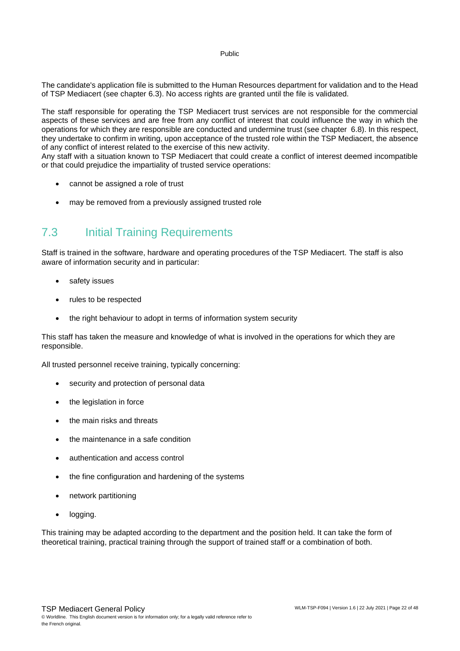The candidate's application file is submitted to the Human Resources department for validation and to the Head of TSP Mediacert (see chapter [6.3\)](#page-17-1). No access rights are granted until the file is validated.

The staff responsible for operating the TSP Mediacert trust services are not responsible for the commercial aspects of these services and are free from any conflict of interest that could influence the way in which the operations for which they are responsible are conducted and undermine trust (see chapter [6.8\)](#page-18-2). In this respect, they undertake to confirm in writing, upon acceptance of the trusted role within the TSP Mediacert, the absence of any conflict of interest related to the exercise of this new activity.

Any staff with a situation known to TSP Mediacert that could create a conflict of interest deemed incompatible or that could prejudice the impartiality of trusted service operations:

- cannot be assigned a role of trust
- <span id="page-21-0"></span>may be removed from a previously assigned trusted role

#### 7.3 Initial Training Requirements

Staff is trained in the software, hardware and operating procedures of the TSP Mediacert. The staff is also aware of information security and in particular:

- safety issues
- rules to be respected
- the right behaviour to adopt in terms of information system security

This staff has taken the measure and knowledge of what is involved in the operations for which they are responsible.

All trusted personnel receive training, typically concerning:

- security and protection of personal data
- the legislation in force
- the main risks and threats
- the maintenance in a safe condition
- authentication and access control
- the fine configuration and hardening of the systems
- network partitioning
- logging.

This training may be adapted according to the department and the position held. It can take the form of theoretical training, practical training through the support of trained staff or a combination of both.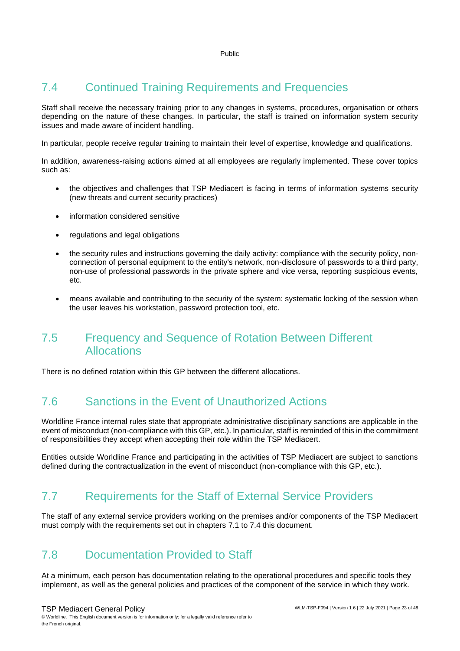### <span id="page-22-0"></span>7.4 Continued Training Requirements and Frequencies

Staff shall receive the necessary training prior to any changes in systems, procedures, organisation or others depending on the nature of these changes. In particular, the staff is trained on information system security issues and made aware of incident handling.

In particular, people receive regular training to maintain their level of expertise, knowledge and qualifications.

In addition, awareness-raising actions aimed at all employees are regularly implemented. These cover topics such as:

- the objectives and challenges that TSP Mediacert is facing in terms of information systems security (new threats and current security practices)
- information considered sensitive
- regulations and legal obligations
- the security rules and instructions governing the daily activity: compliance with the security policy, nonconnection of personal equipment to the entity's network, non-disclosure of passwords to a third party, non-use of professional passwords in the private sphere and vice versa, reporting suspicious events, etc.
- means available and contributing to the security of the system: systematic locking of the session when the user leaves his workstation, password protection tool, etc.

#### <span id="page-22-1"></span>7.5 Frequency and Sequence of Rotation Between Different Allocations

<span id="page-22-2"></span>There is no defined rotation within this GP between the different allocations.

#### 7.6 Sanctions in the Event of Unauthorized Actions

Worldline France internal rules state that appropriate administrative disciplinary sanctions are applicable in the event of misconduct (non-compliance with this GP, etc.). In particular, staff is reminded of this in the commitment of responsibilities they accept when accepting their role within the TSP Mediacert.

<span id="page-22-3"></span>Entities outside Worldline France and participating in the activities of TSP Mediacert are subject to sanctions defined during the contractualization in the event of misconduct (non-compliance with this GP, etc.).

#### 7.7 Requirements for the Staff of External Service Providers

<span id="page-22-4"></span>The staff of any external service providers working on the premises and/or components of the TSP Mediacert must comply with the requirements set out in chapters [7.1](#page-20-1) to [7.4](#page-22-0) this document.

#### 7.8 Documentation Provided to Staff

At a minimum, each person has documentation relating to the operational procedures and specific tools they implement, as well as the general policies and practices of the component of the service in which they work.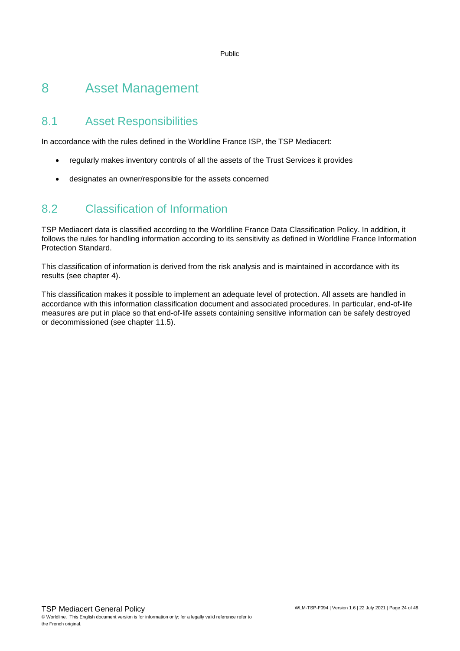### <span id="page-23-0"></span>8 Asset Management

#### <span id="page-23-1"></span>8.1 Asset Responsibilities

In accordance with the rules defined in the Worldline France ISP, the TSP Mediacert:

- regularly makes inventory controls of all the assets of the Trust Services it provides
- <span id="page-23-2"></span>• designates an owner/responsible for the assets concerned

#### 8.2 Classification of Information

TSP Mediacert data is classified according to the Worldline France Data Classification Policy. In addition, it follows the rules for handling information according to its sensitivity as defined in Worldline France Information Protection Standard.

This classification of information is derived from the risk analysis and is maintained in accordance with its results (see chapter 4).

This classification makes it possible to implement an adequate level of protection. All assets are handled in accordance with this information classification document and associated procedures. In particular, end-of-life measures are put in place so that end-of-life assets containing sensitive information can be safely destroyed or decommissioned (see chapter [11.5\)](#page-30-5).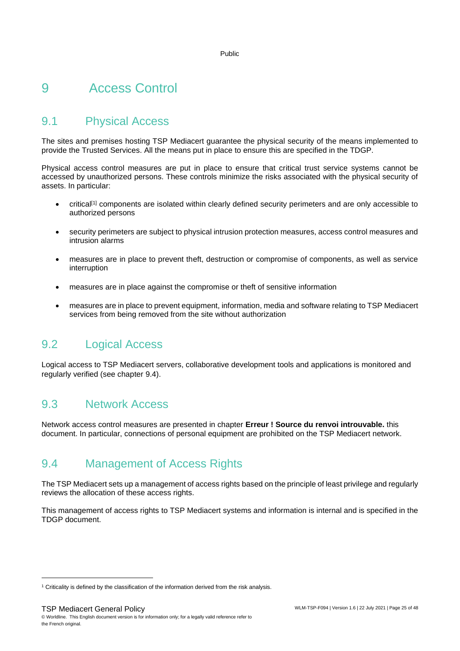## <span id="page-24-0"></span>9 Access Control

#### <span id="page-24-1"></span>9.1 Physical Access

The sites and premises hosting TSP Mediacert guarantee the physical security of the means implemented to provide the Trusted Services. All the means put in place to ensure this are specified in the TDGP.

Physical access control measures are put in place to ensure that critical trust service systems cannot be accessed by unauthorized persons. These controls minimize the risks associated with the physical security of assets. In particular:

- critical<sup>[1]</sup> components are isolated within clearly defined security perimeters and are only accessible to authorized persons
- security perimeters are subject to physical intrusion protection measures, access control measures and intrusion alarms
- measures are in place to prevent theft, destruction or compromise of components, as well as service interruption
- measures are in place against the compromise or theft of sensitive information
- measures are in place to prevent equipment, information, media and software relating to TSP Mediacert services from being removed from the site without authorization

#### <span id="page-24-2"></span>9.2 Logical Access

<span id="page-24-3"></span>Logical access to TSP Mediacert servers, collaborative development tools and applications is monitored and regularly verified (see chapter [9.4\)](#page-24-4).

#### 9.3 Network Access

<span id="page-24-4"></span>Network access control measures are presented in chapter **Erreur ! Source du renvoi introuvable.** this document. In particular, connections of personal equipment are prohibited on the TSP Mediacert network.

#### 9.4 Management of Access Rights

The TSP Mediacert sets up a management of access rights based on the principle of least privilege and regularly reviews the allocation of these access rights.

This management of access rights to TSP Mediacert systems and information is internal and is specified in the TDGP document.

<sup>&</sup>lt;sup>1</sup> Criticality is defined by the classification of the information derived from the risk analysis.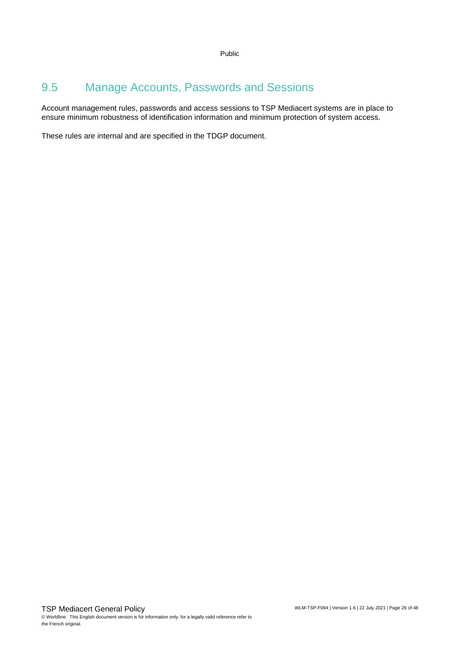#### <span id="page-25-0"></span>9.5 Manage Accounts, Passwords and Sessions

Account management rules, passwords and access sessions to TSP Mediacert systems are in place to ensure minimum robustness of identification information and minimum protection of system access.

These rules are internal and are specified in the TDGP document.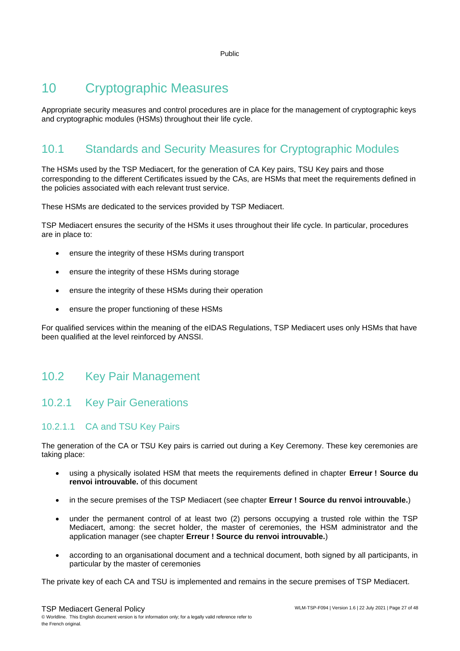## <span id="page-26-0"></span>10 Cryptographic Measures

Appropriate security measures and control procedures are in place for the management of cryptographic keys and cryptographic modules (HSMs) throughout their life cycle.

## <span id="page-26-1"></span>10.1 Standards and Security Measures for Cryptographic Modules

The HSMs used by the TSP Mediacert, for the generation of CA Key pairs, TSU Key pairs and those corresponding to the different Certificates issued by the CAs, are HSMs that meet the requirements defined in the policies associated with each relevant trust service.

These HSMs are dedicated to the services provided by TSP Mediacert.

TSP Mediacert ensures the security of the HSMs it uses throughout their life cycle. In particular, procedures are in place to:

- ensure the integrity of these HSMs during transport
- ensure the integrity of these HSMs during storage
- ensure the integrity of these HSMs during their operation
- ensure the proper functioning of these HSMs

For qualified services within the meaning of the eIDAS Regulations, TSP Mediacert uses only HSMs that have been qualified at the level reinforced by ANSSI.

#### <span id="page-26-2"></span>10.2 Key Pair Management

#### 10.2.1 Key Pair Generations

#### <span id="page-26-3"></span>10.2.1.1 CA and TSU Key Pairs

The generation of the CA or TSU Key pairs is carried out during a Key Ceremony. These key ceremonies are taking place:

- using a physically isolated HSM that meets the requirements defined in chapter **Erreur ! Source du renvoi introuvable.** of this document
- in the secure premises of the TSP Mediacert (see chapter **Erreur ! Source du renvoi introuvable.**)
- under the permanent control of at least two (2) persons occupying a trusted role within the TSP Mediacert, among: the secret holder, the master of ceremonies, the HSM administrator and the application manager (see chapter **Erreur ! Source du renvoi introuvable.**)
- according to an organisational document and a technical document, both signed by all participants, in particular by the master of ceremonies

The private key of each CA and TSU is implemented and remains in the secure premises of TSP Mediacert.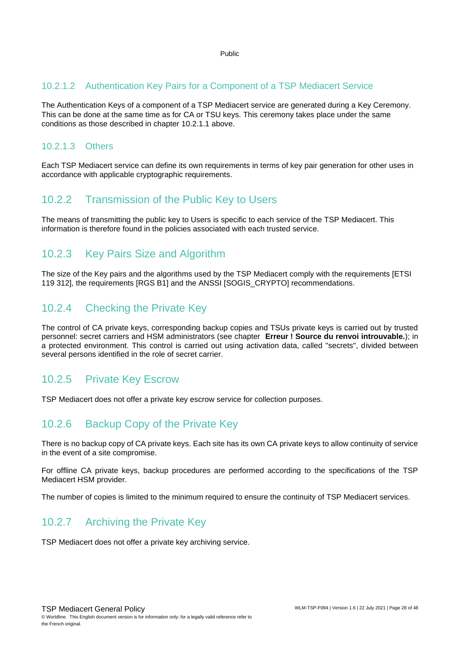#### 10.2.1.2 Authentication Key Pairs for a Component of a TSP Mediacert Service

The Authentication Keys of a component of a TSP Mediacert service are generated during a Key Ceremony. This can be done at the same time as for CA or TSU keys. This ceremony takes place under the same conditions as those described in chapter [10.2.1.1](#page-26-3) above.

#### 10.2.1.3 Others

Each TSP Mediacert service can define its own requirements in terms of key pair generation for other uses in accordance with applicable cryptographic requirements.

#### 10.2.2 Transmission of the Public Key to Users

The means of transmitting the public key to Users is specific to each service of the TSP Mediacert. This information is therefore found in the policies associated with each trusted service.

#### 10.2.3 Key Pairs Size and Algorithm

The size of the Key pairs and the algorithms used by the TSP Mediacert comply with the requirements [ETSI 119 312], the requirements [RGS B1] and the ANSSI [SOGIS\_CRYPTO] recommendations.

#### 10.2.4 Checking the Private Key

The control of CA private keys, corresponding backup copies and TSUs private keys is carried out by trusted personnel: secret carriers and HSM administrators (see chapter **Erreur ! Source du renvoi introuvable.**); in a protected environment. This control is carried out using activation data, called "secrets", divided between several persons identified in the role of secret carrier.

#### 10.2.5 Private Key Escrow

<span id="page-27-0"></span>TSP Mediacert does not offer a private key escrow service for collection purposes.

#### 10.2.6 Backup Copy of the Private Key

There is no backup copy of CA private keys. Each site has its own CA private keys to allow continuity of service in the event of a site compromise.

For offline CA private keys, backup procedures are performed according to the specifications of the TSP Mediacert HSM provider.

The number of copies is limited to the minimum required to ensure the continuity of TSP Mediacert services.

#### 10.2.7 Archiving the Private Key

TSP Mediacert does not offer a private key archiving service.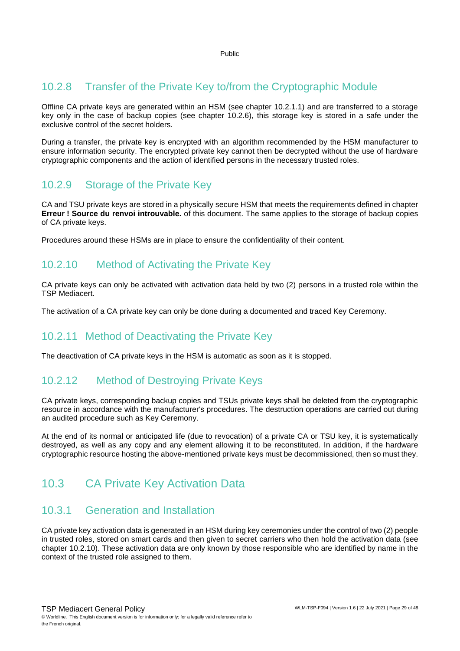#### 10.2.8 Transfer of the Private Key to/from the Cryptographic Module

Offline CA private keys are generated within an HSM (see chapter 10.2.1.1) and are transferred to a storage key only in the case of backup copies (see chapter [10.2.6\)](#page-27-0), this storage key is stored in a safe under the exclusive control of the secret holders.

During a transfer, the private key is encrypted with an algorithm recommended by the HSM manufacturer to ensure information security. The encrypted private key cannot then be decrypted without the use of hardware cryptographic components and the action of identified persons in the necessary trusted roles.

#### 10.2.9 Storage of the Private Key

CA and TSU private keys are stored in a physically secure HSM that meets the requirements defined in chapter **Erreur ! Source du renvoi introuvable.** of this document. The same applies to the storage of backup copies of CA private keys.

Procedures around these HSMs are in place to ensure the confidentiality of their content.

#### 10.2.10 Method of Activating the Private Key

CA private keys can only be activated with activation data held by two (2) persons in a trusted role within the TSP Mediacert.

The activation of a CA private key can only be done during a documented and traced Key Ceremony.

#### 10.2.11 Method of Deactivating the Private Key

The deactivation of CA private keys in the HSM is automatic as soon as it is stopped.

#### 10.2.12 Method of Destroying Private Keys

CA private keys, corresponding backup copies and TSUs private keys shall be deleted from the cryptographic resource in accordance with the manufacturer's procedures. The destruction operations are carried out during an audited procedure such as Key Ceremony.

At the end of its normal or anticipated life (due to revocation) of a private CA or TSU key, it is systematically destroyed, as well as any copy and any element allowing it to be reconstituted. In addition, if the hardware cryptographic resource hosting the above-mentioned private keys must be decommissioned, then so must they.

#### <span id="page-28-0"></span>10.3 CA Private Key Activation Data

#### 10.3.1 Generation and Installation

CA private key activation data is generated in an HSM during key ceremonies under the control of two (2) people in trusted roles, stored on smart cards and then given to secret carriers who then hold the activation data (see chapter 10.2.10). These activation data are only known by those responsible who are identified by name in the context of the trusted role assigned to them.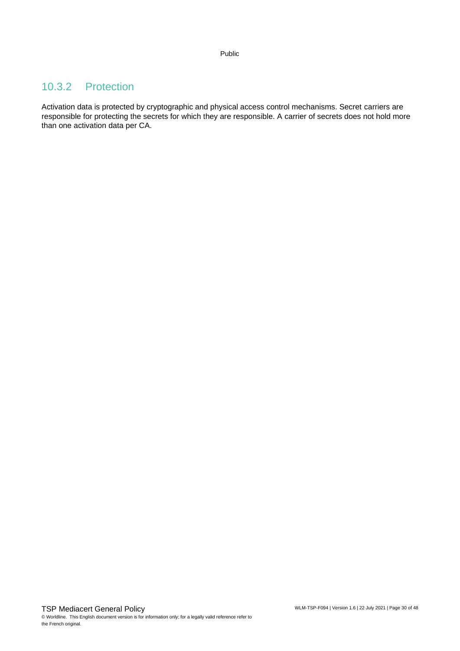#### 10.3.2 Protection

Activation data is protected by cryptographic and physical access control mechanisms. Secret carriers are responsible for protecting the secrets for which they are responsible. A carrier of secrets does not hold more than one activation data per CA.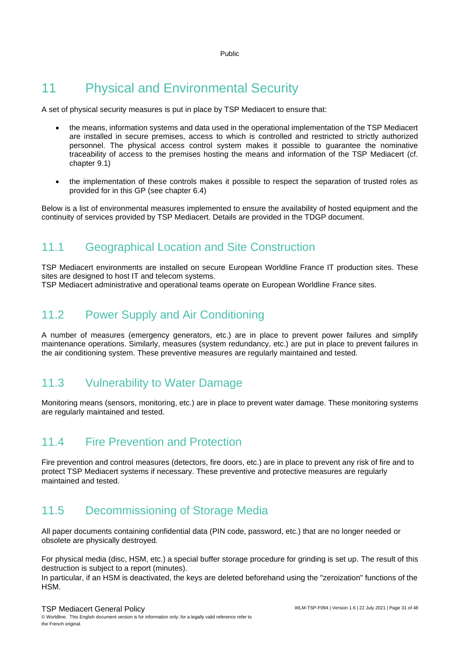## <span id="page-30-0"></span>11 Physical and Environmental Security

A set of physical security measures is put in place by TSP Mediacert to ensure that:

- the means, information systems and data used in the operational implementation of the TSP Mediacert are installed in secure premises, access to which is controlled and restricted to strictly authorized personnel. The physical access control system makes it possible to guarantee the nominative traceability of access to the premises hosting the means and information of the TSP Mediacert (cf. chapter [9.1\)](#page-24-1)
- the implementation of these controls makes it possible to respect the separation of trusted roles as provided for in this GP (see chapter [6.4\)](#page-17-2)

<span id="page-30-1"></span>Below is a list of environmental measures implemented to ensure the availability of hosted equipment and the continuity of services provided by TSP Mediacert. Details are provided in the TDGP document.

#### 11.1 Geographical Location and Site Construction

TSP Mediacert environments are installed on secure European Worldline France IT production sites. These sites are designed to host IT and telecom systems.

<span id="page-30-2"></span>TSP Mediacert administrative and operational teams operate on European Worldline France sites.

### 11.2 Power Supply and Air Conditioning

A number of measures (emergency generators, etc.) are in place to prevent power failures and simplify maintenance operations. Similarly, measures (system redundancy, etc.) are put in place to prevent failures in the air conditioning system. These preventive measures are regularly maintained and tested.

#### <span id="page-30-3"></span>11.3 Vulnerability to Water Damage

<span id="page-30-4"></span>Monitoring means (sensors, monitoring, etc.) are in place to prevent water damage. These monitoring systems are regularly maintained and tested.

#### 11.4 Fire Prevention and Protection

Fire prevention and control measures (detectors, fire doors, etc.) are in place to prevent any risk of fire and to protect TSP Mediacert systems if necessary. These preventive and protective measures are regularly maintained and tested.

#### <span id="page-30-5"></span>11.5 Decommissioning of Storage Media

All paper documents containing confidential data (PIN code, password, etc.) that are no longer needed or obsolete are physically destroyed.

For physical media (disc, HSM, etc.) a special buffer storage procedure for grinding is set up. The result of this destruction is subject to a report (minutes).

In particular, if an HSM is deactivated, the keys are deleted beforehand using the "zeroization" functions of the **HSM**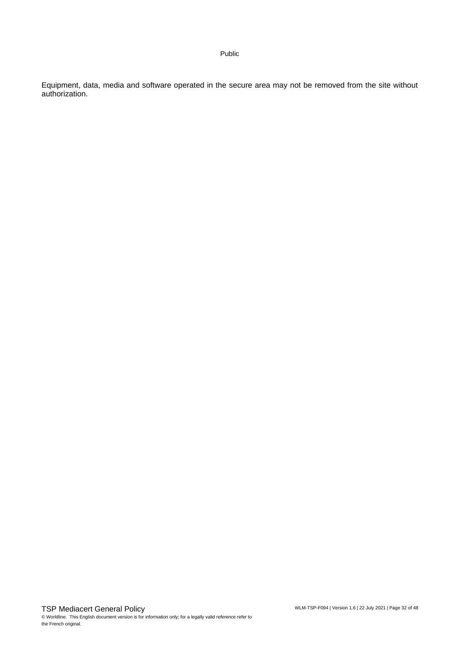Equipment, data, media and software operated in the secure area may not be removed from the site without authorization.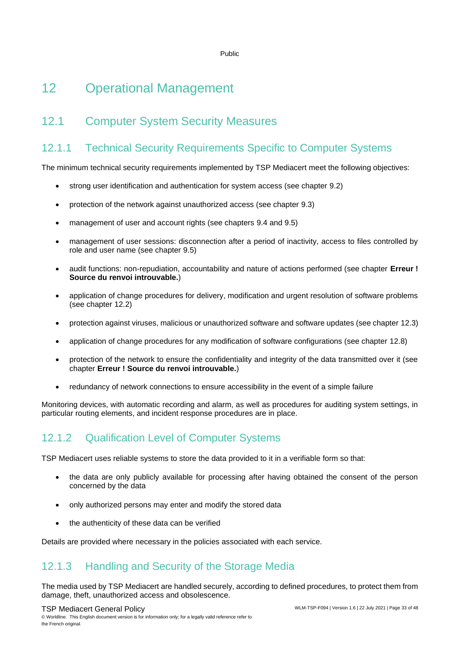## <span id="page-32-0"></span>12 Operational Management

### <span id="page-32-1"></span>12.1 Computer System Security Measures

#### 12.1.1 Technical Security Requirements Specific to Computer Systems

The minimum technical security requirements implemented by TSP Mediacert meet the following objectives:

- strong user identification and authentication for system access (see chapter [9.2\)](#page-24-2)
- protection of the network against unauthorized access (see chapter [9.3\)](#page-24-3)
- management of user and account rights (see chapters [9.4](#page-24-4) and [9.5\)](#page-25-0)
- management of user sessions: disconnection after a period of inactivity, access to files controlled by role and user name (see chapter [9.5\)](#page-25-0)
- audit functions: non-repudiation, accountability and nature of actions performed (see chapter **Erreur ! Source du renvoi introuvable.**)
- application of change procedures for delivery, modification and urgent resolution of software problems (see chapter [12.2\)](#page-33-0)
- protection against viruses, malicious or unauthorized software and software updates (see chapter [12.3\)](#page-33-1)
- application of change procedures for any modification of software configurations (see chapter [12.8\)](#page-35-0)
- protection of the network to ensure the confidentiality and integrity of the data transmitted over it (see chapter **Erreur ! Source du renvoi introuvable.**)
- redundancy of network connections to ensure accessibility in the event of a simple failure

Monitoring devices, with automatic recording and alarm, as well as procedures for auditing system settings, in particular routing elements, and incident response procedures are in place.

#### 12.1.2 Qualification Level of Computer Systems

TSP Mediacert uses reliable systems to store the data provided to it in a verifiable form so that:

- the data are only publicly available for processing after having obtained the consent of the person concerned by the data
- only authorized persons may enter and modify the stored data
- the authenticity of these data can be verified

Details are provided where necessary in the policies associated with each service.

#### 12.1.3 Handling and Security of the Storage Media

The media used by TSP Mediacert are handled securely, according to defined procedures, to protect them from damage, theft, unauthorized access and obsolescence.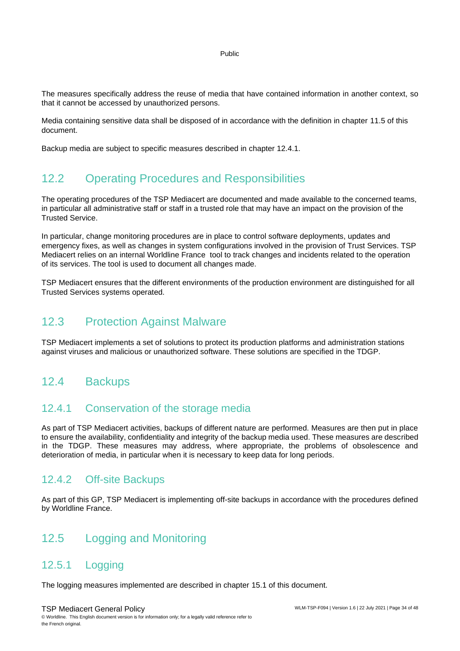The measures specifically address the reuse of media that have contained information in another context, so that it cannot be accessed by unauthorized persons.

Media containing sensitive data shall be disposed of in accordance with the definition in chapter [11.5](#page-30-5) of this document.

<span id="page-33-0"></span>Backup media are subject to specific measures described in chapter [12.4.1.](#page-33-4)

#### 12.2 Operating Procedures and Responsibilities

The operating procedures of the TSP Mediacert are documented and made available to the concerned teams, in particular all administrative staff or staff in a trusted role that may have an impact on the provision of the Trusted Service.

In particular, change monitoring procedures are in place to control software deployments, updates and emergency fixes, as well as changes in system configurations involved in the provision of Trust Services. TSP Mediacert relies on an internal Worldline France tool to track changes and incidents related to the operation of its services. The tool is used to document all changes made.

<span id="page-33-1"></span>TSP Mediacert ensures that the different environments of the production environment are distinguished for all Trusted Services systems operated.

#### 12.3 Protection Against Malware

<span id="page-33-2"></span>TSP Mediacert implements a set of solutions to protect its production platforms and administration stations against viruses and malicious or unauthorized software. These solutions are specified in the TDGP.

#### 12.4 Backups

#### <span id="page-33-4"></span>12.4.1 Conservation of the storage media

As part of TSP Mediacert activities, backups of different nature are performed. Measures are then put in place to ensure the availability, confidentiality and integrity of the backup media used. These measures are described in the TDGP. These measures may address, where appropriate, the problems of obsolescence and deterioration of media, in particular when it is necessary to keep data for long periods.

#### 12.4.2 Off-site Backups

<span id="page-33-3"></span>As part of this GP, TSP Mediacert is implementing off-site backups in accordance with the procedures defined by Worldline France.

#### 12.5 Logging and Monitoring

#### 12.5.1 Logging

The logging measures implemented are described in chapter [15.1](#page-39-1) of this document.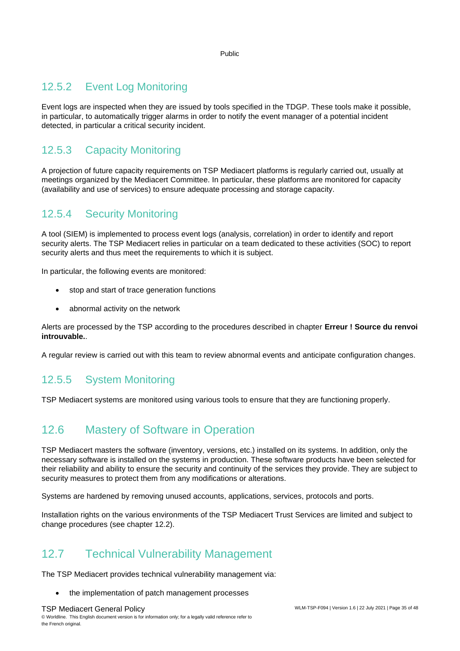#### <span id="page-34-3"></span>12.5.2 Event Log Monitoring

Event logs are inspected when they are issued by tools specified in the TDGP. These tools make it possible, in particular, to automatically trigger alarms in order to notify the event manager of a potential incident detected, in particular a critical security incident.

#### 12.5.3 Capacity Monitoring

A projection of future capacity requirements on TSP Mediacert platforms is regularly carried out, usually at meetings organized by the Mediacert Committee. In particular, these platforms are monitored for capacity (availability and use of services) to ensure adequate processing and storage capacity.

#### <span id="page-34-2"></span>12.5.4 Security Monitoring

A tool (SIEM) is implemented to process event logs (analysis, correlation) in order to identify and report security alerts. The TSP Mediacert relies in particular on a team dedicated to these activities (SOC) to report security alerts and thus meet the requirements to which it is subject.

In particular, the following events are monitored:

- stop and start of trace generation functions
- abnormal activity on the network

Alerts are processed by the TSP according to the procedures described in chapter **Erreur ! Source du renvoi introuvable.**.

A regular review is carried out with this team to review abnormal events and anticipate configuration changes.

#### 12.5.5 System Monitoring

<span id="page-34-0"></span>TSP Mediacert systems are monitored using various tools to ensure that they are functioning properly.

### 12.6 Mastery of Software in Operation

TSP Mediacert masters the software (inventory, versions, etc.) installed on its systems. In addition, only the necessary software is installed on the systems in production. These software products have been selected for their reliability and ability to ensure the security and continuity of the services they provide. They are subject to security measures to protect them from any modifications or alterations.

Systems are hardened by removing unused accounts, applications, services, protocols and ports.

<span id="page-34-1"></span>Installation rights on the various environments of the TSP Mediacert Trust Services are limited and subject to change procedures (see chapter [12.2\)](#page-33-0).

#### 12.7 Technical Vulnerability Management

The TSP Mediacert provides technical vulnerability management via:

• the implementation of patch management processes

TSP Mediacert General Policy © Worldline. This English document version is for information only; for a legally valid reference refer to the French original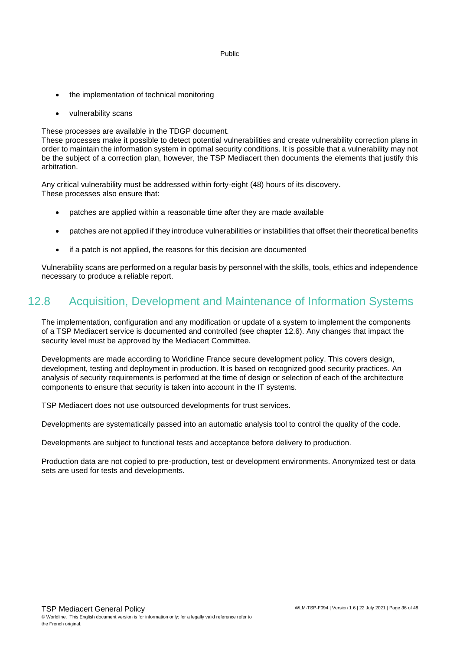- the implementation of technical monitoring
- vulnerability scans

These processes are available in the TDGP document.

These processes make it possible to detect potential vulnerabilities and create vulnerability correction plans in order to maintain the information system in optimal security conditions. It is possible that a vulnerability may not be the subject of a correction plan, however, the TSP Mediacert then documents the elements that justify this arbitration.

Any critical vulnerability must be addressed within forty-eight (48) hours of its discovery. These processes also ensure that:

- patches are applied within a reasonable time after they are made available
- patches are not applied if they introduce vulnerabilities or instabilities that offset their theoretical benefits
- if a patch is not applied, the reasons for this decision are documented

Vulnerability scans are performed on a regular basis by personnel with the skills, tools, ethics and independence necessary to produce a reliable report.

#### <span id="page-35-0"></span>12.8 Acquisition, Development and Maintenance of Information Systems

The implementation, configuration and any modification or update of a system to implement the components of a TSP Mediacert service is documented and controlled (see chapter [12.6\)](#page-34-0). Any changes that impact the security level must be approved by the Mediacert Committee.

Developments are made according to Worldline France secure development policy. This covers design, development, testing and deployment in production. It is based on recognized good security practices. An analysis of security requirements is performed at the time of design or selection of each of the architecture components to ensure that security is taken into account in the IT systems.

TSP Mediacert does not use outsourced developments for trust services.

Developments are systematically passed into an automatic analysis tool to control the quality of the code.

Developments are subject to functional tests and acceptance before delivery to production.

Production data are not copied to pre-production, test or development environments. Anonymized test or data sets are used for tests and developments.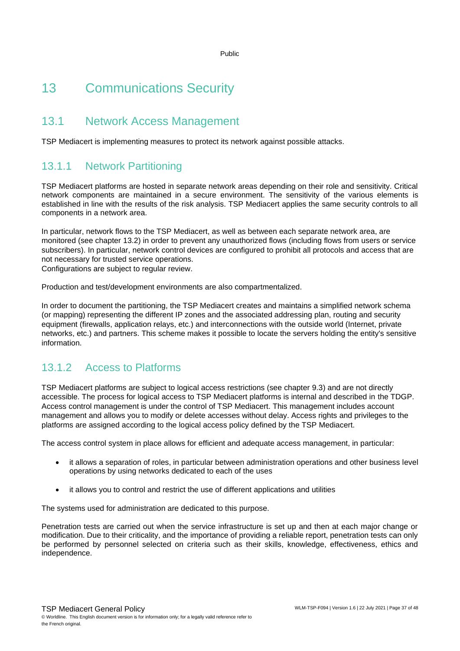## <span id="page-36-0"></span>13 Communications Security

#### <span id="page-36-1"></span>13.1 Network Access Management

TSP Mediacert is implementing measures to protect its network against possible attacks.

#### 13.1.1 Network Partitioning

TSP Mediacert platforms are hosted in separate network areas depending on their role and sensitivity. Critical network components are maintained in a secure environment. The sensitivity of the various elements is established in line with the results of the risk analysis. TSP Mediacert applies the same security controls to all components in a network area.

In particular, network flows to the TSP Mediacert, as well as between each separate network area, are monitored (see chapter [13.2\)](#page-37-0) in order to prevent any unauthorized flows (including flows from users or service subscribers). In particular, network control devices are configured to prohibit all protocols and access that are not necessary for trusted service operations.

Configurations are subject to regular review.

Production and test/development environments are also compartmentalized.

In order to document the partitioning, the TSP Mediacert creates and maintains a simplified network schema (or mapping) representing the different IP zones and the associated addressing plan, routing and security equipment (firewalls, application relays, etc.) and interconnections with the outside world (Internet, private networks, etc.) and partners. This scheme makes it possible to locate the servers holding the entity's sensitive information.

#### 13.1.2 Access to Platforms

TSP Mediacert platforms are subject to logical access restrictions (see chapter [9.3\)](#page-24-3) and are not directly accessible. The process for logical access to TSP Mediacert platforms is internal and described in the TDGP. Access control management is under the control of TSP Mediacert. This management includes account management and allows you to modify or delete accesses without delay. Access rights and privileges to the platforms are assigned according to the logical access policy defined by the TSP Mediacert.

The access control system in place allows for efficient and adequate access management, in particular:

- it allows a separation of roles, in particular between administration operations and other business level operations by using networks dedicated to each of the uses
- it allows you to control and restrict the use of different applications and utilities

The systems used for administration are dedicated to this purpose.

Penetration tests are carried out when the service infrastructure is set up and then at each major change or modification. Due to their criticality, and the importance of providing a reliable report, penetration tests can only be performed by personnel selected on criteria such as their skills, knowledge, effectiveness, ethics and independence.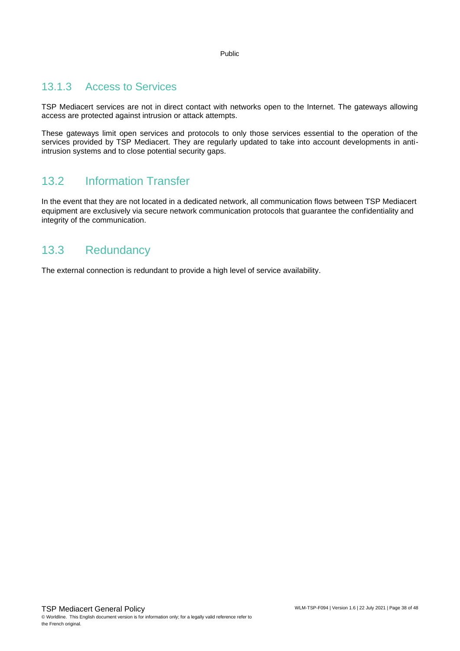#### 13.1.3 Access to Services

TSP Mediacert services are not in direct contact with networks open to the Internet. The gateways allowing access are protected against intrusion or attack attempts.

These gateways limit open services and protocols to only those services essential to the operation of the services provided by TSP Mediacert. They are regularly updated to take into account developments in antiintrusion systems and to close potential security gaps.

#### <span id="page-37-0"></span>13.2 Information Transfer

In the event that they are not located in a dedicated network, all communication flows between TSP Mediacert equipment are exclusively via secure network communication protocols that guarantee the confidentiality and integrity of the communication.

#### <span id="page-37-1"></span>13.3 Redundancy

The external connection is redundant to provide a high level of service availability.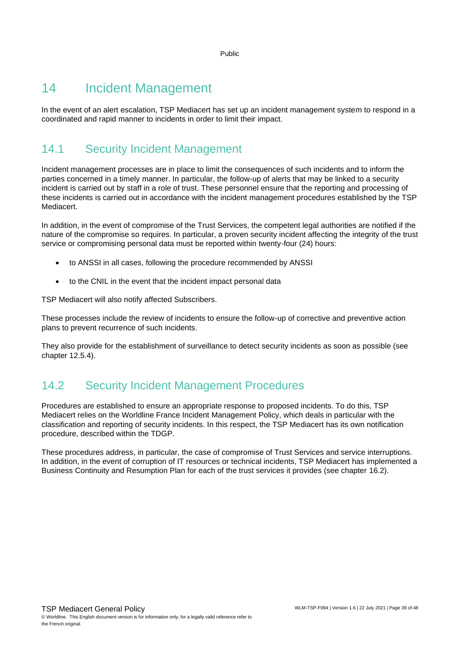## <span id="page-38-0"></span>14 Incident Management

<span id="page-38-1"></span>In the event of an alert escalation, TSP Mediacert has set up an incident management system to respond in a coordinated and rapid manner to incidents in order to limit their impact.

## 14.1 Security Incident Management

Incident management processes are in place to limit the consequences of such incidents and to inform the parties concerned in a timely manner. In particular, the follow-up of alerts that may be linked to a security incident is carried out by staff in a role of trust. These personnel ensure that the reporting and processing of these incidents is carried out in accordance with the incident management procedures established by the TSP Mediacert.

In addition, in the event of compromise of the Trust Services, the competent legal authorities are notified if the nature of the compromise so requires. In particular, a proven security incident affecting the integrity of the trust service or compromising personal data must be reported within twenty-four (24) hours:

- to ANSSI in all cases, following the procedure recommended by ANSSI
- to the CNIL in the event that the incident impact personal data

TSP Mediacert will also notify affected Subscribers.

These processes include the review of incidents to ensure the follow-up of corrective and preventive action plans to prevent recurrence of such incidents.

<span id="page-38-2"></span>They also provide for the establishment of surveillance to detect security incidents as soon as possible (see chapter [12.5.4\)](#page-34-2).

#### 14.2 Security Incident Management Procedures

Procedures are established to ensure an appropriate response to proposed incidents. To do this, TSP Mediacert relies on the Worldline France Incident Management Policy, which deals in particular with the classification and reporting of security incidents. In this respect, the TSP Mediacert has its own notification procedure, described within the TDGP.

These procedures address, in particular, the case of compromise of Trust Services and service interruptions. In addition, in the event of corruption of IT resources or technical incidents, TSP Mediacert has implemented a Business Continuity and Resumption Plan for each of the trust services it provides (see chapter [16.2\)](#page-41-2).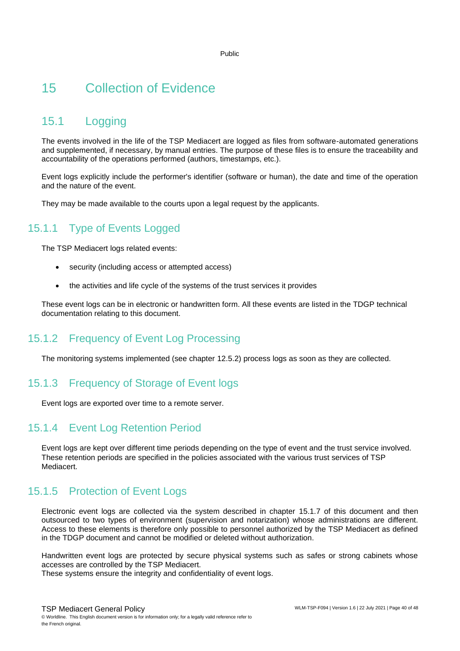## <span id="page-39-0"></span>15 Collection of Evidence

### <span id="page-39-1"></span>15.1 Logging

The events involved in the life of the TSP Mediacert are logged as files from software-automated generations and supplemented, if necessary, by manual entries. The purpose of these files is to ensure the traceability and accountability of the operations performed (authors, timestamps, etc.).

Event logs explicitly include the performer's identifier (software or human), the date and time of the operation and the nature of the event.

They may be made available to the courts upon a legal request by the applicants.

#### 15.1.1 Type of Events Logged

The TSP Mediacert logs related events:

- security (including access or attempted access)
- the activities and life cycle of the systems of the trust services it provides

These event logs can be in electronic or handwritten form. All these events are listed in the TDGP technical documentation relating to this document.

#### 15.1.2 Frequency of Event Log Processing

The monitoring systems implemented (see chapter [12.5.2\)](#page-34-3) process logs as soon as they are collected.

#### 15.1.3 Frequency of Storage of Event logs

Event logs are exported over time to a remote server.

#### 15.1.4 Event Log Retention Period

Event logs are kept over different time periods depending on the type of event and the trust service involved. These retention periods are specified in the policies associated with the various trust services of TSP Mediacert.

#### 15.1.5 Protection of Event Logs

Electronic event logs are collected via the system described in chapter [15.1.7](#page-40-1) of this document and then outsourced to two types of environment (supervision and notarization) whose administrations are different. Access to these elements is therefore only possible to personnel authorized by the TSP Mediacert as defined in the TDGP document and cannot be modified or deleted without authorization.

Handwritten event logs are protected by secure physical systems such as safes or strong cabinets whose accesses are controlled by the TSP Mediacert.

These systems ensure the integrity and confidentiality of event logs.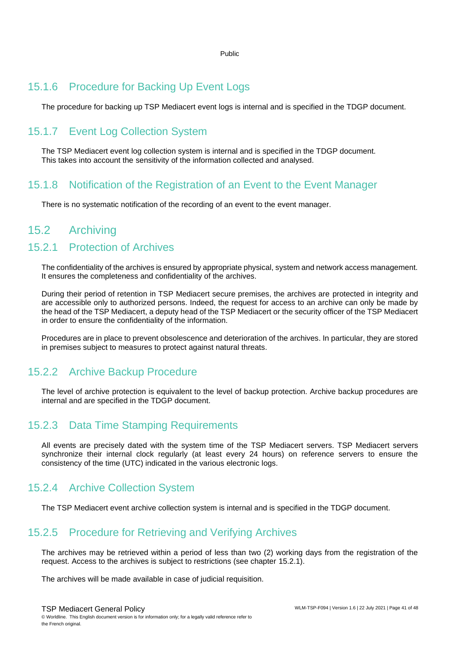#### 15.1.6 Procedure for Backing Up Event Logs

The procedure for backing up TSP Mediacert event logs is internal and is specified in the TDGP document.

#### <span id="page-40-1"></span>15.1.7 Event Log Collection System

The TSP Mediacert event log collection system is internal and is specified in the TDGP document. This takes into account the sensitivity of the information collected and analysed.

#### 15.1.8 Notification of the Registration of an Event to the Event Manager

There is no systematic notification of the recording of an event to the event manager.

#### <span id="page-40-0"></span>15.2 Archiving

#### <span id="page-40-2"></span>15.2.1 Protection of Archives

The confidentiality of the archives is ensured by appropriate physical, system and network access management. It ensures the completeness and confidentiality of the archives.

During their period of retention in TSP Mediacert secure premises, the archives are protected in integrity and are accessible only to authorized persons. Indeed, the request for access to an archive can only be made by the head of the TSP Mediacert, a deputy head of the TSP Mediacert or the security officer of the TSP Mediacert in order to ensure the confidentiality of the information.

Procedures are in place to prevent obsolescence and deterioration of the archives. In particular, they are stored in premises subject to measures to protect against natural threats.

#### 15.2.2 Archive Backup Procedure

The level of archive protection is equivalent to the level of backup protection. Archive backup procedures are internal and are specified in the TDGP document.

#### 15.2.3 Data Time Stamping Requirements

All events are precisely dated with the system time of the TSP Mediacert servers. TSP Mediacert servers synchronize their internal clock regularly (at least every 24 hours) on reference servers to ensure the consistency of the time (UTC) indicated in the various electronic logs.

#### 15.2.4 Archive Collection System

The TSP Mediacert event archive collection system is internal and is specified in the TDGP document.

#### 15.2.5 Procedure for Retrieving and Verifying Archives

The archives may be retrieved within a period of less than two (2) working days from the registration of the request. Access to the archives is subject to restrictions (see chapter [15.2.1\)](#page-40-2).

The archives will be made available in case of judicial requisition.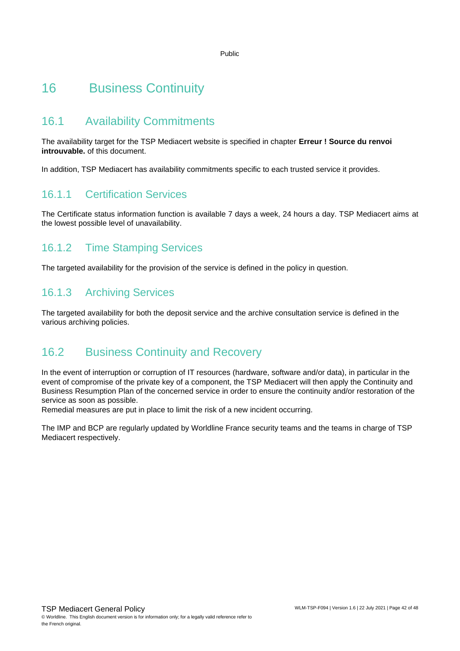## <span id="page-41-0"></span>16 Business Continuity

#### <span id="page-41-1"></span>16.1 Availability Commitments

The availability target for the TSP Mediacert website is specified in chapter **Erreur ! Source du renvoi introuvable.** of this document.

In addition, TSP Mediacert has availability commitments specific to each trusted service it provides.

#### 16.1.1 Certification Services

The Certificate status information function is available 7 days a week, 24 hours a day. TSP Mediacert aims at the lowest possible level of unavailability.

#### 16.1.2 Time Stamping Services

The targeted availability for the provision of the service is defined in the policy in question.

#### 16.1.3 Archiving Services

<span id="page-41-2"></span>The targeted availability for both the deposit service and the archive consultation service is defined in the various archiving policies.

#### 16.2 Business Continuity and Recovery

In the event of interruption or corruption of IT resources (hardware, software and/or data), in particular in the event of compromise of the private key of a component, the TSP Mediacert will then apply the Continuity and Business Resumption Plan of the concerned service in order to ensure the continuity and/or restoration of the service as soon as possible.

Remedial measures are put in place to limit the risk of a new incident occurring.

The IMP and BCP are regularly updated by Worldline France security teams and the teams in charge of TSP Mediacert respectively.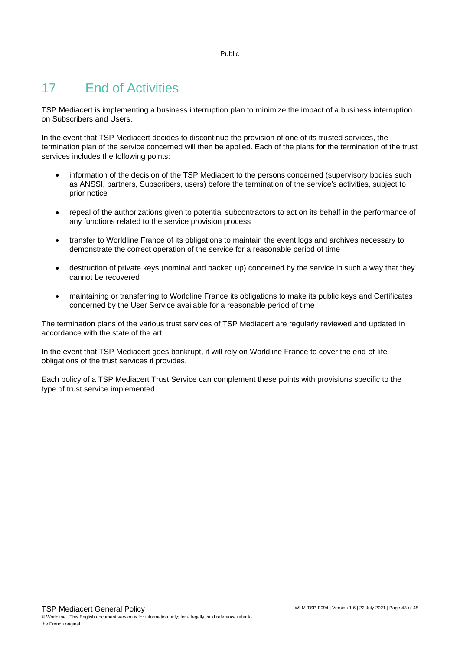## <span id="page-42-0"></span>17 End of Activities

TSP Mediacert is implementing a business interruption plan to minimize the impact of a business interruption on Subscribers and Users.

In the event that TSP Mediacert decides to discontinue the provision of one of its trusted services, the termination plan of the service concerned will then be applied. Each of the plans for the termination of the trust services includes the following points:

- information of the decision of the TSP Mediacert to the persons concerned (supervisory bodies such as ANSSI, partners, Subscribers, users) before the termination of the service's activities, subject to prior notice
- repeal of the authorizations given to potential subcontractors to act on its behalf in the performance of any functions related to the service provision process
- transfer to Worldline France of its obligations to maintain the event logs and archives necessary to demonstrate the correct operation of the service for a reasonable period of time
- destruction of private keys (nominal and backed up) concerned by the service in such a way that they cannot be recovered
- maintaining or transferring to Worldline France its obligations to make its public keys and Certificates concerned by the User Service available for a reasonable period of time

The termination plans of the various trust services of TSP Mediacert are regularly reviewed and updated in accordance with the state of the art.

In the event that TSP Mediacert goes bankrupt, it will rely on Worldline France to cover the end-of-life obligations of the trust services it provides.

Each policy of a TSP Mediacert Trust Service can complement these points with provisions specific to the type of trust service implemented.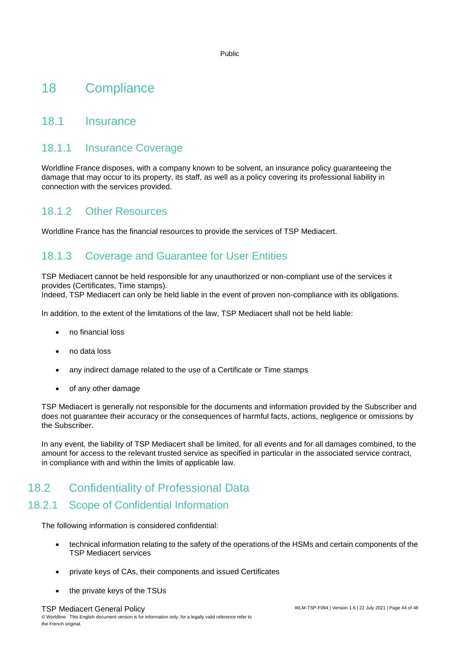### <span id="page-43-0"></span>18 Compliance

#### <span id="page-43-1"></span>18.1 Insurance

#### 18.1.1 Insurance Coverage

Worldline France disposes, with a company known to be solvent, an insurance policy guaranteeing the damage that may occur to its property, its staff, as well as a policy covering its professional liability in connection with the services provided.

#### 18.1.2 Other Resources

Worldline France has the financial resources to provide the services of TSP Mediacert.

#### 18.1.3 Coverage and Guarantee for User Entities

TSP Mediacert cannot be held responsible for any unauthorized or non-compliant use of the services it provides (Certificates, Time stamps).

Indeed, TSP Mediacert can only be held liable in the event of proven non-compliance with its obligations.

In addition, to the extent of the limitations of the law, TSP Mediacert shall not be held liable:

- no financial loss
- no data loss
- any indirect damage related to the use of a Certificate or Time stamps
- of any other damage

TSP Mediacert is generally not responsible for the documents and information provided by the Subscriber and does not guarantee their accuracy or the consequences of harmful facts, actions, negligence or omissions by the Subscriber.

In any event, the liability of TSP Mediacert shall be limited, for all events and for all damages combined, to the amount for access to the relevant trusted service as specified in particular in the associated service contract, in compliance with and within the limits of applicable law.

#### <span id="page-43-2"></span>18.2 Confidentiality of Professional Data

#### 18.2.1 Scope of Confidential Information

The following information is considered confidential:

- technical information relating to the safety of the operations of the HSMs and certain components of the TSP Mediacert services
- private keys of CAs, their components and issued Certificates
- the private keys of the TSUs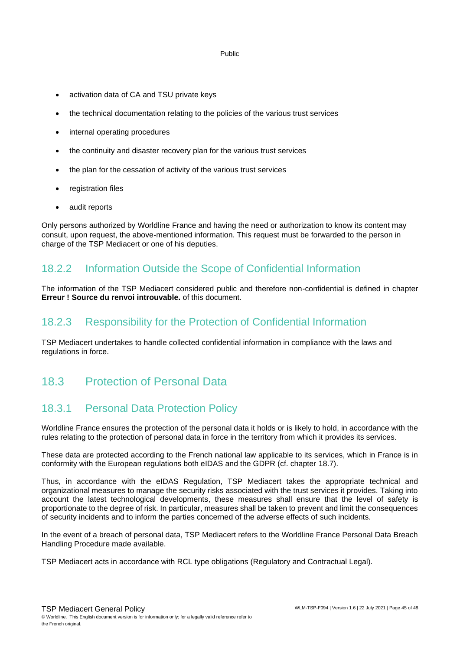- activation data of CA and TSU private keys
- the technical documentation relating to the policies of the various trust services
- internal operating procedures
- the continuity and disaster recovery plan for the various trust services
- the plan for the cessation of activity of the various trust services
- registration files
- audit reports

Only persons authorized by Worldline France and having the need or authorization to know its content may consult, upon request, the above-mentioned information. This request must be forwarded to the person in charge of the TSP Mediacert or one of his deputies.

#### 18.2.2 Information Outside the Scope of Confidential Information

The information of the TSP Mediacert considered public and therefore non-confidential is defined in chapter **Erreur ! Source du renvoi introuvable.** of this document.

#### 18.2.3 Responsibility for the Protection of Confidential Information

<span id="page-44-0"></span>TSP Mediacert undertakes to handle collected confidential information in compliance with the laws and regulations in force.

#### 18.3 Protection of Personal Data

#### 18.3.1 Personal Data Protection Policy

Worldline France ensures the protection of the personal data it holds or is likely to hold, in accordance with the rules relating to the protection of personal data in force in the territory from which it provides its services.

These data are protected according to the French national law applicable to its services, which in France is in conformity with the European regulations both eIDAS and the GDPR (cf. chapter [18.7\)](#page-46-1).

Thus, in accordance with the eIDAS Regulation, TSP Mediacert takes the appropriate technical and organizational measures to manage the security risks associated with the trust services it provides. Taking into account the latest technological developments, these measures shall ensure that the level of safety is proportionate to the degree of risk. In particular, measures shall be taken to prevent and limit the consequences of security incidents and to inform the parties concerned of the adverse effects of such incidents.

In the event of a breach of personal data, TSP Mediacert refers to the Worldline France Personal Data Breach Handling Procedure made available.

TSP Mediacert acts in accordance with RCL type obligations (Regulatory and Contractual Legal).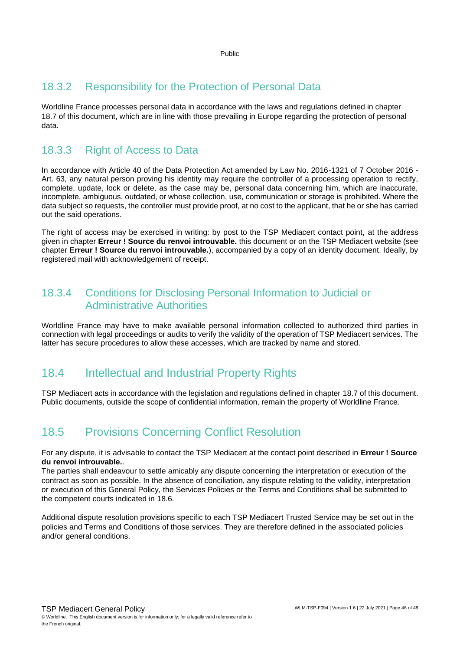#### 18.3.2 Responsibility for the Protection of Personal Data

Worldline France processes personal data in accordance with the laws and regulations defined in chapter [18.7](#page-46-1) of this document, which are in line with those prevailing in Europe regarding the protection of personal data.

#### 18.3.3 Right of Access to Data

In accordance with Article 40 of the Data Protection Act amended by Law No. 2016-1321 of 7 October 2016 - Art. 63, any natural person proving his identity may require the controller of a processing operation to rectify, complete, update, lock or delete, as the case may be, personal data concerning him, which are inaccurate, incomplete, ambiguous, outdated, or whose collection, use, communication or storage is prohibited. Where the data subject so requests, the controller must provide proof, at no cost to the applicant, that he or she has carried out the said operations.

The right of access may be exercised in writing: by post to the TSP Mediacert contact point, at the address given in chapter **Erreur ! Source du renvoi introuvable.** this document or on the TSP Mediacert website (see chapter **Erreur ! Source du renvoi introuvable.**), accompanied by a copy of an identity document. Ideally, by registered mail with acknowledgement of receipt.

#### 18.3.4 Conditions for Disclosing Personal Information to Judicial or Administrative Authorities

Worldline France may have to make available personal information collected to authorized third parties in connection with legal proceedings or audits to verify the validity of the operation of TSP Mediacert services. The latter has secure procedures to allow these accesses, which are tracked by name and stored.

#### <span id="page-45-0"></span>18.4 Intellectual and Industrial Property Rights

<span id="page-45-1"></span>TSP Mediacert acts in accordance with the legislation and regulations defined in chapter [18.7](#page-46-1) of this document. Public documents, outside the scope of confidential information, remain the property of Worldline France.

#### 18.5 Provisions Concerning Conflict Resolution

For any dispute, it is advisable to contact the TSP Mediacert at the contact point described in **Erreur ! Source du renvoi introuvable.**.

The parties shall endeavour to settle amicably any dispute concerning the interpretation or execution of the contract as soon as possible. In the absence of conciliation, any dispute relating to the validity, interpretation or execution of this General Policy, the Services Policies or the Terms and Conditions shall be submitted to the competent courts indicated in [18.6.](#page-46-0)

Additional dispute resolution provisions specific to each TSP Mediacert Trusted Service may be set out in the policies and Terms and Conditions of those services. They are therefore defined in the associated policies and/or general conditions.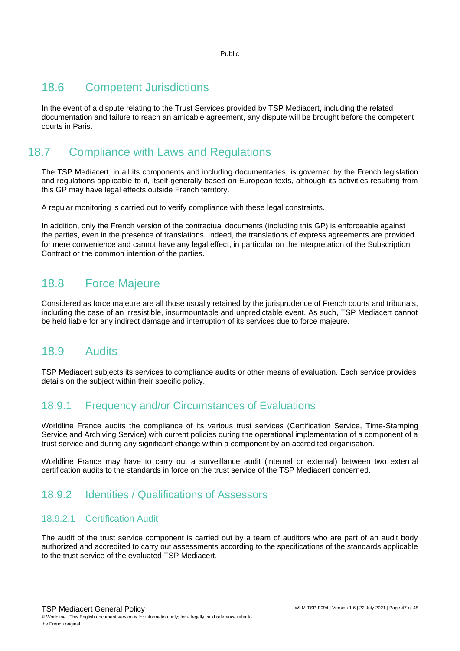#### <span id="page-46-0"></span>18.6 Competent Jurisdictions

In the event of a dispute relating to the Trust Services provided by TSP Mediacert, including the related documentation and failure to reach an amicable agreement, any dispute will be brought before the competent courts in Paris.

### <span id="page-46-1"></span>18.7 Compliance with Laws and Regulations

The TSP Mediacert, in all its components and including documentaries, is governed by the French legislation and regulations applicable to it, itself generally based on European texts, although its activities resulting from this GP may have legal effects outside French territory.

A regular monitoring is carried out to verify compliance with these legal constraints.

In addition, only the French version of the contractual documents (including this GP) is enforceable against the parties, even in the presence of translations. Indeed, the translations of express agreements are provided for mere convenience and cannot have any legal effect, in particular on the interpretation of the Subscription Contract or the common intention of the parties.

#### <span id="page-46-2"></span>18.8 Force Majeure

Considered as force majeure are all those usually retained by the jurisprudence of French courts and tribunals, including the case of an irresistible, insurmountable and unpredictable event. As such, TSP Mediacert cannot be held liable for any indirect damage and interruption of its services due to force majeure.

#### <span id="page-46-3"></span>18.9 Audits

TSP Mediacert subjects its services to compliance audits or other means of evaluation. Each service provides details on the subject within their specific policy.

#### 18.9.1 Frequency and/or Circumstances of Evaluations

Worldline France audits the compliance of its various trust services (Certification Service, Time-Stamping Service and Archiving Service) with current policies during the operational implementation of a component of a trust service and during any significant change within a component by an accredited organisation.

Worldline France may have to carry out a surveillance audit (internal or external) between two external certification audits to the standards in force on the trust service of the TSP Mediacert concerned.

#### 18.9.2 Identities / Qualifications of Assessors

#### 18.9.2.1 Certification Audit

The audit of the trust service component is carried out by a team of auditors who are part of an audit body authorized and accredited to carry out assessments according to the specifications of the standards applicable to the trust service of the evaluated TSP Mediacert.